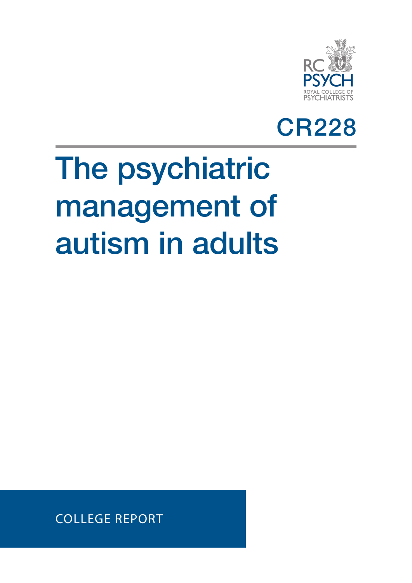



# The psychiatric management of autism in adults

COLLEGE REPORT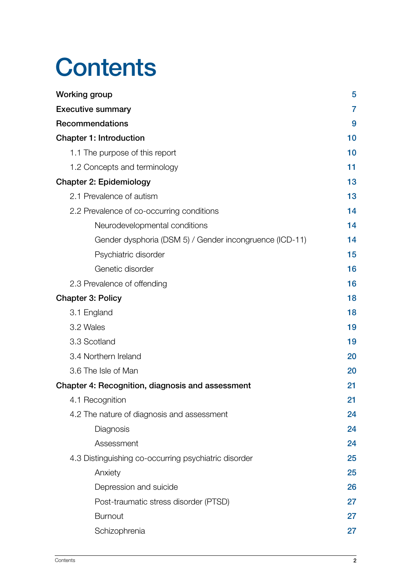# **Contents**

| <b>Working group</b>                                    | 5              |
|---------------------------------------------------------|----------------|
| <b>Executive summary</b>                                | $\overline{7}$ |
| <b>Recommendations</b>                                  | 9              |
| <b>Chapter 1: Introduction</b>                          | 10             |
| 1.1 The purpose of this report                          | 10             |
| 1.2 Concepts and terminology                            | 11             |
| <b>Chapter 2: Epidemiology</b>                          | 13             |
| 2.1 Prevalence of autism                                | 13             |
| 2.2 Prevalence of co-occurring conditions               | 14             |
| Neurodevelopmental conditions                           | 14             |
| Gender dysphoria (DSM 5) / Gender incongruence (ICD-11) | 14             |
| Psychiatric disorder                                    | 15             |
| Genetic disorder                                        | 16             |
| 2.3 Prevalence of offending                             | 16             |
| <b>Chapter 3: Policy</b>                                | 18             |
| 3.1 England                                             | 18             |
| 3.2 Wales                                               | 19             |
| 3.3 Scotland                                            | 19             |
| 3.4 Northern Ireland                                    | 20             |
| 3.6 The Isle of Man                                     | 20             |
| Chapter 4: Recognition, diagnosis and assessment        | 21             |
| 4.1 Recognition                                         | 21             |
| 4.2 The nature of diagnosis and assessment              | 24             |
| Diagnosis                                               | 24             |
| Assessment                                              | 24             |
| 4.3 Distinguishing co-occurring psychiatric disorder    | 25             |
| Anxiety                                                 | 25             |
| Depression and suicide                                  | 26             |
| Post-traumatic stress disorder (PTSD)                   | 27             |
| <b>Burnout</b>                                          | 27             |
| Schizophrenia                                           | 27             |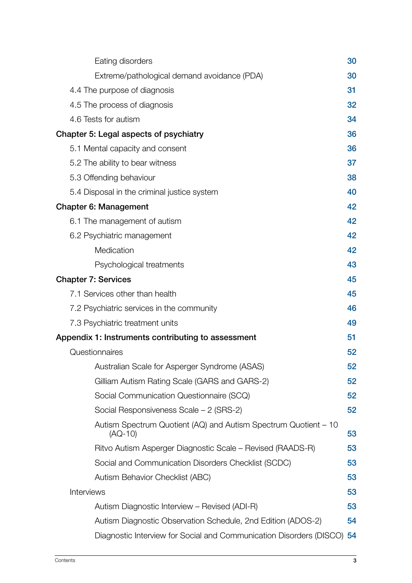| Eating disorders                                                             | 30 |
|------------------------------------------------------------------------------|----|
| Extreme/pathological demand avoidance (PDA)                                  | 30 |
| 4.4 The purpose of diagnosis                                                 | 31 |
| 4.5 The process of diagnosis                                                 | 32 |
| 4.6 Tests for autism                                                         | 34 |
| Chapter 5: Legal aspects of psychiatry                                       | 36 |
| 5.1 Mental capacity and consent                                              | 36 |
| 5.2 The ability to bear witness                                              | 37 |
| 5.3 Offending behaviour                                                      | 38 |
| 5.4 Disposal in the criminal justice system                                  | 40 |
| <b>Chapter 6: Management</b>                                                 | 42 |
| 6.1 The management of autism                                                 | 42 |
| 6.2 Psychiatric management                                                   | 42 |
| Medication                                                                   | 42 |
| Psychological treatments                                                     | 43 |
| <b>Chapter 7: Services</b>                                                   | 45 |
| 7.1 Services other than health                                               | 45 |
| 7.2 Psychiatric services in the community                                    | 46 |
| 7.3 Psychiatric treatment units                                              | 49 |
| Appendix 1: Instruments contributing to assessment                           | 51 |
| Questionnaires                                                               | 52 |
| Australian Scale for Asperger Syndrome (ASAS)                                | 52 |
| Gilliam Autism Rating Scale (GARS and GARS-2)                                | 52 |
| Social Communication Questionnaire (SCQ)                                     | 52 |
| Social Responsiveness Scale - 2 (SRS-2)                                      | 52 |
| Autism Spectrum Quotient (AQ) and Autism Spectrum Quotient - 10<br>$(AQ-10)$ | 53 |
| Ritvo Autism Asperger Diagnostic Scale – Revised (RAADS-R)                   | 53 |
| Social and Communication Disorders Checklist (SCDC)                          | 53 |
| Autism Behavior Checklist (ABC)                                              | 53 |
| Interviews                                                                   | 53 |
| Autism Diagnostic Interview – Revised (ADI-R)                                | 53 |
| Autism Diagnostic Observation Schedule, 2nd Edition (ADOS-2)                 | 54 |
| Diagnostic Interview for Social and Communication Disorders (DISCO) 54       |    |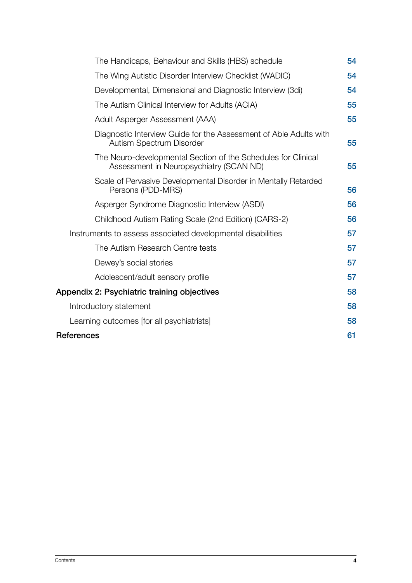| The Handicaps, Behaviour and Skills (HBS) schedule                                                       | 54 |
|----------------------------------------------------------------------------------------------------------|----|
| The Wing Autistic Disorder Interview Checklist (WADIC)                                                   | 54 |
| Developmental, Dimensional and Diagnostic Interview (3di)                                                | 54 |
| The Autism Clinical Interview for Adults (ACIA)                                                          | 55 |
| Adult Asperger Assessment (AAA)                                                                          | 55 |
| Diagnostic Interview Guide for the Assessment of Able Adults with<br>Autism Spectrum Disorder            | 55 |
| The Neuro-developmental Section of the Schedules for Clinical<br>Assessment in Neuropsychiatry (SCAN ND) | 55 |
| Scale of Pervasive Developmental Disorder in Mentally Retarded<br>Persons (PDD-MRS)                      | 56 |
| Asperger Syndrome Diagnostic Interview (ASDI)                                                            | 56 |
| Childhood Autism Rating Scale (2nd Edition) (CARS-2)                                                     | 56 |
| Instruments to assess associated developmental disabilities                                              | 57 |
| The Autism Research Centre tests                                                                         | 57 |
| Dewey's social stories                                                                                   | 57 |
| Adolescent/adult sensory profile                                                                         | 57 |
| Appendix 2: Psychiatric training objectives                                                              | 58 |
| Introductory statement                                                                                   | 58 |
| Learning outcomes [for all psychiatrists]                                                                | 58 |
| <b>References</b>                                                                                        | 61 |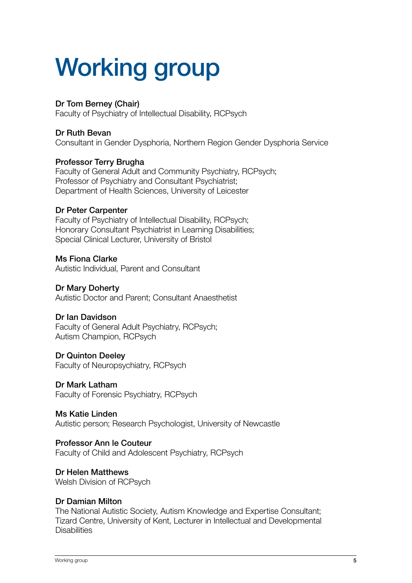# <span id="page-4-0"></span>Working group

#### Dr Tom Berney (Chair)

Faculty of Psychiatry of Intellectual Disability, RCPsych

#### Dr Ruth Bevan

Consultant in Gender Dysphoria, Northern Region Gender Dysphoria Service

#### Professor Terry Brugha

Faculty of General Adult and Community Psychiatry, RCPsych; Professor of Psychiatry and Consultant Psychiatrist; Department of Health Sciences, University of Leicester

#### Dr Peter Carpenter

Faculty of Psychiatry of Intellectual Disability, RCPsych; Honorary Consultant Psychiatrist in Learning Disabilities; Special Clinical Lecturer, University of Bristol

#### Ms Fiona Clarke

Autistic Individual, Parent and Consultant

#### Dr Mary Doherty

Autistic Doctor and Parent; Consultant Anaesthetist

#### Dr Ian Davidson

Faculty of General Adult Psychiatry, RCPsych; Autism Champion, RCPsych

#### Dr Quinton Deeley

Faculty of Neuropsychiatry, RCPsych

#### Dr Mark Latham

Faculty of Forensic Psychiatry, RCPsych

#### Ms Katie Linden

Autistic person; Research Psychologist, University of Newcastle

#### Professor Ann le Couteur

Faculty of Child and Adolescent Psychiatry, RCPsych

#### Dr Helen Matthews

Welsh Division of RCPsych

#### Dr Damian Milton

The National Autistic Society, Autism Knowledge and Expertise Consultant; Tizard Centre, University of Kent, Lecturer in Intellectual and Developmental **Disabilities**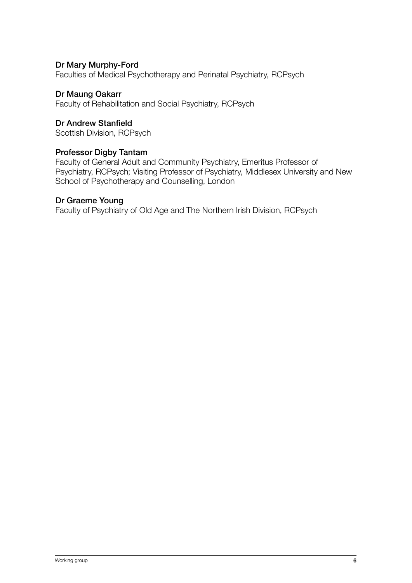#### Dr Mary Murphy-Ford

Faculties of Medical Psychotherapy and Perinatal Psychiatry, RCPsych

#### Dr Maung Oakarr

Faculty of Rehabilitation and Social Psychiatry, RCPsych

#### Dr Andrew Stanfield

Scottish Division, RCPsych

#### Professor Digby Tantam

Faculty of General Adult and Community Psychiatry, Emeritus Professor of Psychiatry, RCPsych; Visiting Professor of Psychiatry, Middlesex University and New School of Psychotherapy and Counselling, London

#### Dr Graeme Young

Faculty of Psychiatry of Old Age and The Northern Irish Division, RCPsych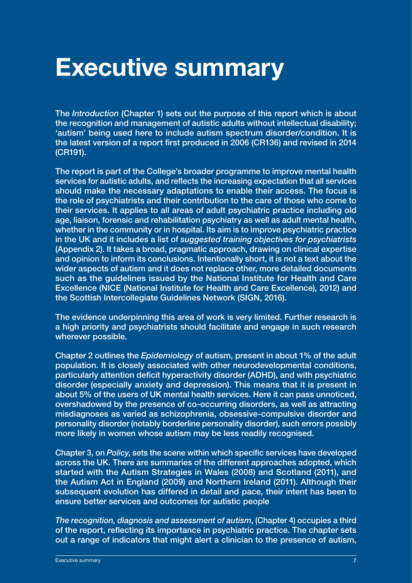# <span id="page-6-0"></span>Executive summary

The *Introduction* (Chapter 1) sets out the purpose of this report which is about the recognition and management of autistic adults without intellectual disability; 'autism' being used here to include autism spectrum disorder/condition. It is the latest version of a report first produced in 2006 (CR136) and revised in 2014 (CR191).

The report is part of the College's broader programme to improve mental health services for autistic adults, and reflects the increasing expectation that all services should make the necessary adaptations to enable their access. The focus is the role of psychiatrists and their contribution to the care of those who come to their services. It applies to all areas of adult psychiatric practice including old age, liaison, forensic and rehabilitation psychiatry as well as adult mental health, whether in the community or in hospital. Its aim is to improve psychiatric practice in the UK and it includes a list of *suggested training objectives for psychiatrists* (Appendix 2). It takes a broad, pragmatic approach, drawing on clinical expertise and opinion to inform its conclusions. Intentionally short, it is not a text about the wider aspects of autism and it does not replace other, more detailed documents such as the guidelines issued by the National Institute for Health and Care Excellence (NICE (National Institute for Health and Care Excellence), 2012) and the Scottish Intercollegiate Guidelines Network (SIGN, 2016).

The evidence underpinning this area of work is very limited. Further research is a high priority and psychiatrists should facilitate and engage in such research wherever possible.

Chapter 2 outlines the *Epidemiology* of autism, present in about 1% of the adult population. It is closely associated with other neurodevelopmental conditions, particularly attention deficit hyperactivity disorder (ADHD), and with psychiatric disorder (especially anxiety and depression). This means that it is present in about 5% of the users of UK mental health services. Here it can pass unnoticed, overshadowed by the presence of co-occurring disorders, as well as attracting misdiagnoses as varied as schizophrenia, obsessive-compulsive disorder and personality disorder (notably borderline personality disorder), such errors possibly more likely in women whose autism may be less readily recognised.

Chapter 3, on *Policy*, sets the scene within which specific services have developed across the UK. There are summaries of the different approaches adopted, which started with the Autism Strategies in Wales (2008) and Scotland (2011), and the Autism Act in England (2009) and Northern Ireland (2011). Although their subsequent evolution has differed in detail and pace, their intent has been to ensure better services and outcomes for autistic people

*The recognition, diagnosis and assessment of autism*, (Chapter 4) occupies a third of the report, reflecting its importance in psychiatric practice. The chapter sets out a range of indicators that might alert a clinician to the presence of autism,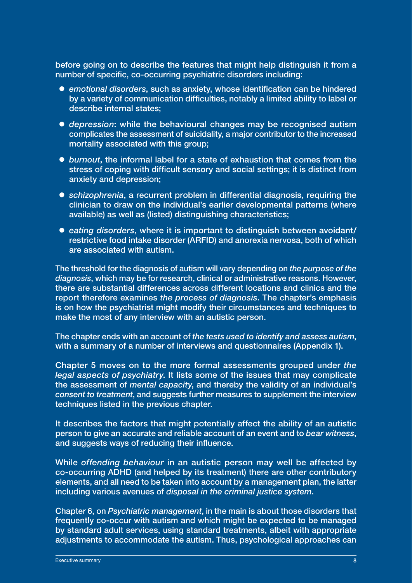before going on to describe the features that might help distinguish it from a number of specific, co-occurring psychiatric disorders including:

- **emotional disorders, such as anxiety, whose identification can be hindered** by a variety of communication difficulties, notably a limited ability to label or describe internal states;
- **•** depression: while the behavioural changes may be recognised autism complicates the assessment of suicidality, a major contributor to the increased mortality associated with this group;
- burnout, the informal label for a state of exhaustion that comes from the stress of coping with difficult sensory and social settings; it is distinct from anxiety and depression;
- **•** schizophrenia, a recurrent problem in differential diagnosis, requiring the clinician to draw on the individual's earlier developmental patterns (where available) as well as (listed) distinguishing characteristics;
- eating disorders, where it is important to distinguish between avoidant/ restrictive food intake disorder (ARFID) and anorexia nervosa, both of which are associated with autism.

The threshold for the diagnosis of autism will vary depending on *the purpose of the diagnosis*, which may be for research, clinical or administrative reasons. However, there are substantial differences across different locations and clinics and the report therefore examines *the process of diagnosis*. The chapter's emphasis is on how the psychiatrist might modify their circumstances and techniques to make the most of any interview with an autistic person.

The chapter ends with an account of *the tests used to identify and assess autism*, with a summary of a number of interviews and questionnaires (Appendix 1).

Chapter 5 moves on to the more formal assessments grouped under *the legal aspects of psychiatry*. It lists some of the issues that may complicate the assessment of *mental capacity*, and thereby the validity of an individual's *consent to treatment*, and suggests further measures to supplement the interview techniques listed in the previous chapter.

It describes the factors that might potentially affect the ability of an autistic person to give an accurate and reliable account of an event and to *bear witness*, and suggests ways of reducing their influence.

While *offending behaviour* in an autistic person may well be affected by co-occurring ADHD (and helped by its treatment) there are other contributory elements, and all need to be taken into account by a management plan, the latter including various avenues of *disposal in the criminal justice system*.

Chapter 6, on *Psychiatric management*, in the main is about those disorders that frequently co-occur with autism and which might be expected to be managed by standard adult services, using standard treatments, albeit with appropriate adjustments to accommodate the autism. Thus, psychological approaches can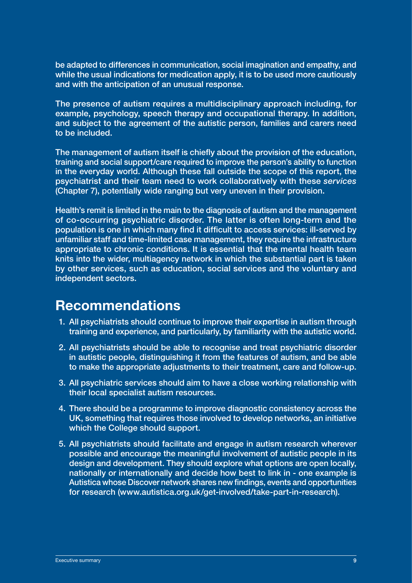<span id="page-8-0"></span>be adapted to differences in communication, social imagination and empathy, and while the usual indications for medication apply, it is to be used more cautiously and with the anticipation of an unusual response.

The presence of autism requires a multidisciplinary approach including, for example, psychology, speech therapy and occupational therapy. In addition, and subject to the agreement of the autistic person, families and carers need to be included.

The management of autism itself is chiefly about the provision of the education, training and social support/care required to improve the person's ability to function in the everyday world. Although these fall outside the scope of this report, the psychiatrist and their team need to work collaboratively with these *services* (Chapter 7), potentially wide ranging but very uneven in their provision.

Health's remit is limited in the main to the diagnosis of autism and the management of co-occurring psychiatric disorder. The latter is often long-term and the population is one in which many find it difficult to access services: ill-served by unfamiliar staff and time-limited case management, they require the infrastructure appropriate to chronic conditions. It is essential that the mental health team knits into the wider, multiagency network in which the substantial part is taken by other services, such as education, social services and the voluntary and independent sectors.

## Recommendations

- 1. All psychiatrists should continue to improve their expertise in autism through training and experience, and particularly, by familiarity with the autistic world.
- 2. All psychiatrists should be able to recognise and treat psychiatric disorder in autistic people, distinguishing it from the features of autism, and be able to make the appropriate adjustments to their treatment, care and follow-up.
- 3. All psychiatric services should aim to have a close working relationship with their local specialist autism resources.
- 4. There should be a programme to improve diagnostic consistency across the UK, something that requires those involved to develop networks, an initiative which the College should support.
- 5. All psychiatrists should facilitate and engage in autism research wherever possible and encourage the meaningful involvement of autistic people in its design and development. They should explore what options are open locally, nationally or internationally and decide how best to link in - one example is Autistica whose Discover network shares new findings, events and opportunities for research (www.autistica.org.uk/get-involved/take-part-in-research).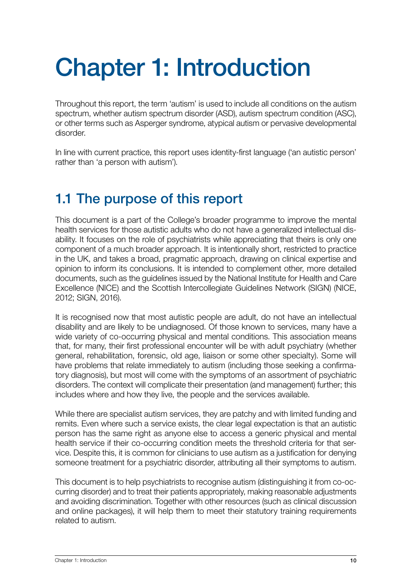# <span id="page-9-0"></span>Chapter 1: Introduction

Throughout this report, the term 'autism' is used to include all conditions on the autism spectrum, whether autism spectrum disorder (ASD), autism spectrum condition (ASC), or other terms such as Asperger syndrome, atypical autism or pervasive developmental disorder.

In line with current practice, this report uses identity-first language ('an autistic person' rather than 'a person with autism').

# 1.1 The purpose of this report

This document is a part of the College's broader programme to improve the mental health services for those autistic adults who do not have a generalized intellectual disability. It focuses on the role of psychiatrists while appreciating that theirs is only one component of a much broader approach. It is intentionally short, restricted to practice in the UK, and takes a broad, pragmatic approach, drawing on clinical expertise and opinion to inform its conclusions. It is intended to complement other, more detailed documents, such as the guidelines issued by the National Institute for Health and Care Excellence (NICE) and the Scottish Intercollegiate Guidelines Network (SIGN) (NICE, 2012; SIGN, 2016).

It is recognised now that most autistic people are adult, do not have an intellectual disability and are likely to be undiagnosed. Of those known to services, many have a wide variety of co-occurring physical and mental conditions. This association means that, for many, their first professional encounter will be with adult psychiatry (whether general, rehabilitation, forensic, old age, liaison or some other specialty). Some will have problems that relate immediately to autism (including those seeking a confirmatory diagnosis), but most will come with the symptoms of an assortment of psychiatric disorders. The context will complicate their presentation (and management) further; this includes where and how they live, the people and the services available.

While there are specialist autism services, they are patchy and with limited funding and remits. Even where such a service exists, the clear legal expectation is that an autistic person has the same right as anyone else to access a generic physical and mental health service if their co-occurring condition meets the threshold criteria for that service. Despite this, it is common for clinicians to use autism as a justification for denying someone treatment for a psychiatric disorder, attributing all their symptoms to autism.

This document is to help psychiatrists to recognise autism (distinguishing it from co-occurring disorder) and to treat their patients appropriately, making reasonable adjustments and avoiding discrimination. Together with other resources (such as clinical discussion and online packages), it will help them to meet their statutory training requirements related to autism.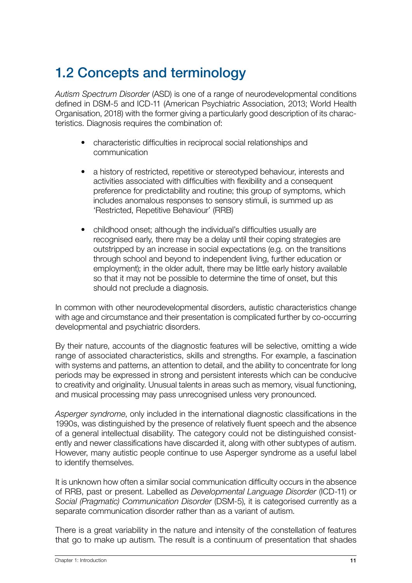# <span id="page-10-0"></span>1.2 Concepts and terminology

*Autism Spectrum Disorder* (ASD) is one of a range of neurodevelopmental conditions defined in DSM-5 and ICD-11 (American Psychiatric Association, 2013; World Health Organisation, 2018) with the former giving a particularly good description of its characteristics. Diagnosis requires the combination of:

- characteristic difficulties in reciprocal social relationships and communication
- a history of restricted, repetitive or stereotyped behaviour, interests and activities associated with difficulties with flexibility and a consequent preference for predictability and routine; this group of symptoms, which includes anomalous responses to sensory stimuli, is summed up as 'Restricted, Repetitive Behaviour' (RRB)
- childhood onset; although the individual's difficulties usually are recognised early, there may be a delay until their coping strategies are outstripped by an increase in social expectations (e.g. on the transitions through school and beyond to independent living, further education or employment); in the older adult, there may be little early history available so that it may not be possible to determine the time of onset, but this should not preclude a diagnosis.

In common with other neurodevelopmental disorders, autistic characteristics change with age and circumstance and their presentation is complicated further by co-occurring developmental and psychiatric disorders.

By their nature, accounts of the diagnostic features will be selective, omitting a wide range of associated characteristics, skills and strengths. For example, a fascination with systems and patterns, an attention to detail, and the ability to concentrate for long periods may be expressed in strong and persistent interests which can be conducive to creativity and originality. Unusual talents in areas such as memory, visual functioning, and musical processing may pass unrecognised unless very pronounced.

*Asperger syndrome*, only included in the international diagnostic classifications in the 1990s, was distinguished by the presence of relatively fluent speech and the absence of a general intellectual disability. The category could not be distinguished consistently and newer classifications have discarded it, along with other subtypes of autism. However, many autistic people continue to use Asperger syndrome as a useful label to identify themselves.

It is unknown how often a similar social communication difficulty occurs in the absence of RRB, past or present. Labelled as *Developmental Language Disorder* (ICD-11) or *Social (Pragmatic) Communication Disorder* (DSM-5), it is categorised currently as a separate communication disorder rather than as a variant of autism.

There is a great variability in the nature and intensity of the constellation of features that go to make up autism. The result is a continuum of presentation that shades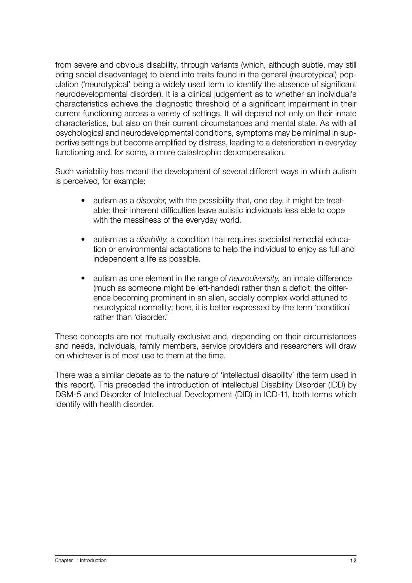from severe and obvious disability, through variants (which, although subtle, may still bring social disadvantage) to blend into traits found in the general (neurotypical) population ('neurotypical' being a widely used term to identify the absence of significant neurodevelopmental disorder). It is a clinical judgement as to whether an individual's characteristics achieve the diagnostic threshold of a significant impairment in their current functioning across a variety of settings. It will depend not only on their innate characteristics, but also on their current circumstances and mental state. As with all psychological and neurodevelopmental conditions, symptoms may be minimal in supportive settings but become amplified by distress, leading to a deterioration in everyday functioning and, for some, a more catastrophic decompensation.

Such variability has meant the development of several different ways in which autism is perceived, for example:

- autism as a *disorder*, with the possibility that, one day, it might be treatable: their inherent difficulties leave autistic individuals less able to cope with the messiness of the everyday world.
- autism as a *disability*, a condition that requires specialist remedial education or environmental adaptations to help the individual to enjoy as full and independent a life as possible.
- autism as one element in the range of *neurodiversity*, an innate difference (much as someone might be left-handed) rather than a deficit; the difference becoming prominent in an alien, socially complex world attuned to neurotypical normality; here, it is better expressed by the term 'condition' rather than 'disorder.'

These concepts are not mutually exclusive and, depending on their circumstances and needs, individuals, family members, service providers and researchers will draw on whichever is of most use to them at the time.

There was a similar debate as to the nature of 'intellectual disability' (the term used in this report). This preceded the introduction of Intellectual Disability Disorder (IDD) by DSM-5 and Disorder of Intellectual Development (DID) in ICD-11, both terms which identify with health disorder.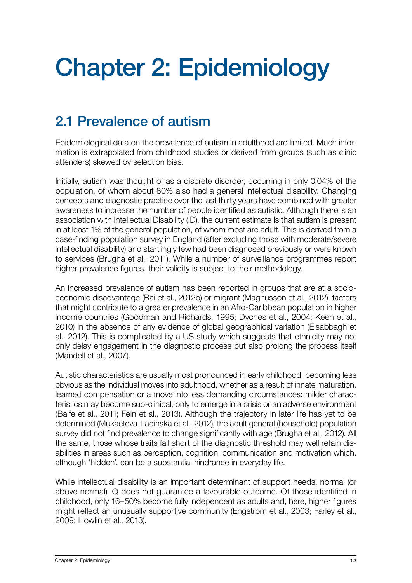# <span id="page-12-0"></span>Chapter 2: Epidemiology

# 2.1 Prevalence of autism

Epidemiological data on the prevalence of autism in adulthood are limited. Much information is extrapolated from childhood studies or derived from groups (such as clinic attenders) skewed by selection bias.

Initially, autism was thought of as a discrete disorder, occurring in only 0.04% of the population, of whom about 80% also had a general intellectual disability. Changing concepts and diagnostic practice over the last thirty years have combined with greater awareness to increase the number of people identified as autistic. Although there is an association with Intellectual Disability (ID), the current estimate is that autism is present in at least 1% of the general population, of whom most are adult. This is derived from a case-finding population survey in England (after excluding those with moderate/severe intellectual disability) and startlingly few had been diagnosed previously or were known to services (Brugha et al., 2011). While a number of surveillance programmes report higher prevalence figures, their validity is subject to their methodology.

An increased prevalence of autism has been reported in groups that are at a socioeconomic disadvantage (Rai et al., 2012b) or migrant (Magnusson et al., 2012), factors that might contribute to a greater prevalence in an Afro-Caribbean population in higher income countries (Goodman and Richards, 1995; Dyches et al., 2004; Keen et al., 2010) in the absence of any evidence of global geographical variation (Elsabbagh et al., 2012). This is complicated by a US study which suggests that ethnicity may not only delay engagement in the diagnostic process but also prolong the process itself (Mandell et al., 2007).

Autistic characteristics are usually most pronounced in early childhood, becoming less obvious as the individual moves into adulthood, whether as a result of innate maturation, learned compensation or a move into less demanding circumstances: milder characteristics may become sub-clinical, only to emerge in a crisis or an adverse environment (Balfe et al., 2011; Fein et al., 2013). Although the trajectory in later life has yet to be determined (Mukaetova-Ladinska et al., 2012), the adult general (household) population survey did not find prevalence to change significantly with age (Brugha et al., 2012). All the same, those whose traits fall short of the diagnostic threshold may well retain disabilities in areas such as perception, cognition, communication and motivation which, although 'hidden', can be a substantial hindrance in everyday life.

While intellectual disability is an important determinant of support needs, normal (or above normal) IQ does not guarantee a favourable outcome. Of those identified in childhood, only 16–50% become fully independent as adults and, here, higher figures might reflect an unusually supportive community (Engstrom et al., 2003; Farley et al., 2009; Howlin et al., 2013).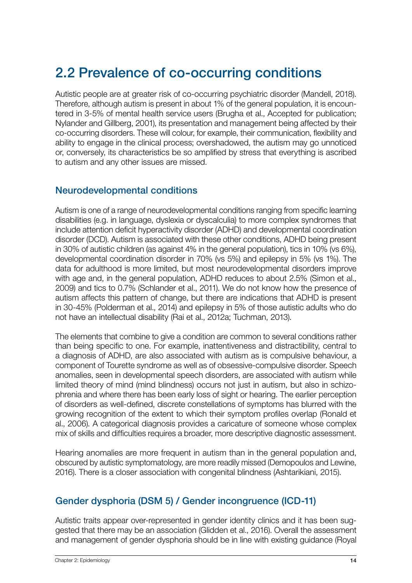# <span id="page-13-0"></span>2.2 Prevalence of co-occurring conditions

Autistic people are at greater risk of co-occurring psychiatric disorder (Mandell, 2018). Therefore, although autism is present in about 1% of the general population, it is encountered in 3-5% of mental health service users (Brugha et al., Accepted for publication; Nylander and Gillberg, 2001), its presentation and management being affected by their co-occurring disorders. These will colour, for example, their communication, flexibility and ability to engage in the clinical process; overshadowed, the autism may go unnoticed or, conversely, its characteristics be so amplified by stress that everything is ascribed to autism and any other issues are missed.

#### Neurodevelopmental conditions

Autism is one of a range of neurodevelopmental conditions ranging from specific learning disabilities (e.g. in language, dyslexia or dyscalculia) to more complex syndromes that include attention deficit hyperactivity disorder (ADHD) and developmental coordination disorder (DCD). Autism is associated with these other conditions, ADHD being present in 30% of autistic children (as against 4% in the general population), tics in 10% (vs 6%), developmental coordination disorder in 70% (vs 5%) and epilepsy in 5% (vs 1%). The data for adulthood is more limited, but most neurodevelopmental disorders improve with age and, in the general population, ADHD reduces to about 2.5% (Simon et al., 2009) and tics to 0.7% (Schlander et al., 2011). We do not know how the presence of autism affects this pattern of change, but there are indications that ADHD is present in 30-45% (Polderman et al., 2014) and epilepsy in 5% of those autistic adults who do not have an intellectual disability (Rai et al., 2012a; Tuchman, 2013).

The elements that combine to give a condition are common to several conditions rather than being specific to one. For example, inattentiveness and distractibility, central to a diagnosis of ADHD, are also associated with autism as is compulsive behaviour, a component of Tourette syndrome as well as of obsessive-compulsive disorder. Speech anomalies, seen in developmental speech disorders, are associated with autism while limited theory of mind (mind blindness) occurs not just in autism, but also in schizophrenia and where there has been early loss of sight or hearing. The earlier perception of disorders as well-defined, discrete constellations of symptoms has blurred with the growing recognition of the extent to which their symptom profiles overlap (Ronald et al., 2006). A categorical diagnosis provides a caricature of someone whose complex mix of skills and difficulties requires a broader, more descriptive diagnostic assessment.

Hearing anomalies are more frequent in autism than in the general population and, obscured by autistic symptomatology, are more readily missed (Demopoulos and Lewine, 2016). There is a closer association with congenital blindness (Ashtarikiani, 2015).

### Gender dysphoria (DSM 5) / Gender incongruence (ICD-11)

Autistic traits appear over-represented in gender identity clinics and it has been suggested that there may be an association (Glidden et al., 2016). Overall the assessment and management of gender dysphoria should be in line with existing guidance (Royal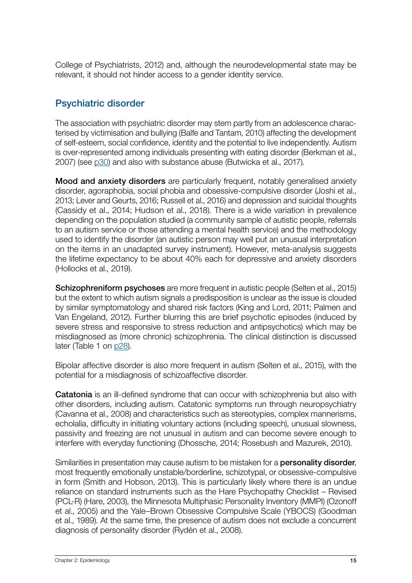<span id="page-14-0"></span>College of Psychiatrists, 2012) and, although the neurodevelopmental state may be relevant, it should not hinder access to a gender identity service.

## Psychiatric disorder

The association with psychiatric disorder may stem partly from an adolescence characterised by victimisation and bullying (Balfe and Tantam, 2010) affecting the development of self-esteem, social confidence, identity and the potential to live independently. Autism is over-represented among individuals presenting with eating disorder (Berkman et al., 2007) (see [p30](#page-29-1)) and also with substance abuse (Butwicka et al., 2017).

Mood and anxiety disorders are particularly frequent, notably generalised anxiety disorder, agoraphobia, social phobia and obsessive-compulsive disorder (Joshi et al., 2013; Lever and Geurts, 2016; Russell et al., 2016) and depression and suicidal thoughts (Cassidy et al., 2014; Hudson et al., 2018). There is a wide variation in prevalence depending on the population studied (a community sample of autistic people, referrals to an autism service or those attending a mental health service) and the methodology used to identify the disorder (an autistic person may well put an unusual interpretation on the items in an unadapted survey instrument). However, meta-analysis suggests the lifetime expectancy to be about 40% each for depressive and anxiety disorders (Hollocks et al., 2019).

**Schizophreniform psychoses** are more frequent in autistic people (Selten et al., 2015) but the extent to which autism signals a predisposition is unclear as the issue is clouded by similar symptomatology and shared risk factors (King and Lord, 2011; Palmen and Van Engeland, 2012). Further blurring this are brief psychotic episodes (induced by severe stress and responsive to stress reduction and antipsychotics) which may be misdiagnosed as (more chronic) schizophrenia. The clinical distinction is discussed later (Table 1 on [p28\)](#page-27-0).

Bipolar affective disorder is also more frequent in autism (Selten et al., 2015), with the potential for a misdiagnosis of schizoaffective disorder.

<span id="page-14-1"></span>**Catatonia** is an ill-defined syndrome that can occur with schizophrenia but also with other disorders, including autism. Catatonic symptoms run through neuropsychiatry (Cavanna et al., 2008) and characteristics such as stereotypies, complex mannerisms, echolalia, difficulty in initiating voluntary actions (including speech), unusual slowness, passivity and freezing are not unusual in autism and can become severe enough to interfere with everyday functioning (Dhossche, 2014; Rosebush and Mazurek, 2010).

Similarities in presentation may cause autism to be mistaken for a **personality disorder**, most frequently emotionally unstable/borderline, schizotypal, or obsessive-compulsive in form (Smith and Hobson, 2013). This is particularly likely where there is an undue reliance on standard instruments such as the Hare Psychopathy Checklist – Revised (PCL-R) (Hare, 2003), the Minnesota Multiphasic Personality Inventory (MMPI) (Ozonoff et al., 2005) and the Yale–Brown Obsessive Compulsive Scale (YBOCS) (Goodman et al., 1989). At the same time, the presence of autism does not exclude a concurrent diagnosis of personality disorder (Rydén et al., 2008).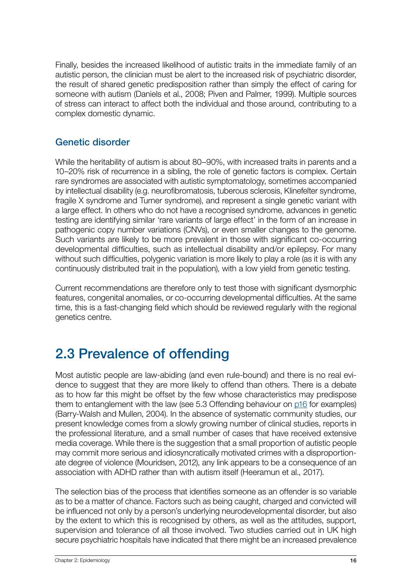<span id="page-15-0"></span>Finally, besides the increased likelihood of autistic traits in the immediate family of an autistic person, the clinician must be alert to the increased risk of psychiatric disorder, the result of shared genetic predisposition rather than simply the effect of caring for someone with autism (Daniels et al., 2008; Piven and Palmer, 1999). Multiple sources of stress can interact to affect both the individual and those around, contributing to a complex domestic dynamic.

### Genetic disorder

While the heritability of autism is about 80–90%, with increased traits in parents and a 10–20% risk of recurrence in a sibling, the role of genetic factors is complex. Certain rare syndromes are associated with autistic symptomatology, sometimes accompanied by intellectual disability (e.g. neurofibromatosis, tuberous sclerosis, Klinefelter syndrome, fragile X syndrome and Turner syndrome), and represent a single genetic variant with a large effect. In others who do not have a recognised syndrome, advances in genetic testing are identifying similar 'rare variants of large effect' in the form of an increase in pathogenic copy number variations (CNVs), or even smaller changes to the genome. Such variants are likely to be more prevalent in those with significant co-occurring developmental difficulties, such as intellectual disability and/or epilepsy. For many without such difficulties, polygenic variation is more likely to play a role (as it is with any continuously distributed trait in the population), with a low yield from genetic testing.

Current recommendations are therefore only to test those with significant dysmorphic features, congenital anomalies, or co-occurring developmental difficulties. At the same time, this is a fast-changing field which should be reviewed regularly with the regional genetics centre.

## 2.3 Prevalence of offending

Most autistic people are law-abiding (and even rule-bound) and there is no real evidence to suggest that they are more likely to offend than others. There is a debate as to how far this might be offset by the few whose characteristics may predispose them to entanglement with the law (see 5.3 Offending behaviour on  $p16$  for examples) (Barry-Walsh and Mullen, 2004). In the absence of systematic community studies, our present knowledge comes from a slowly growing number of clinical studies, reports in the professional literature, and a small number of cases that have received extensive media coverage. While there is the suggestion that a small proportion of autistic people may commit more serious and idiosyncratically motivated crimes with a disproportionate degree of violence (Mouridsen, 2012), any link appears to be a consequence of an association with ADHD rather than with autism itself (Heeramun et al., 2017).

The selection bias of the process that identifies someone as an offender is so variable as to be a matter of chance. Factors such as being caught, charged and convicted will be influenced not only by a person's underlying neurodevelopmental disorder, but also by the extent to which this is recognised by others, as well as the attitudes, support, supervision and tolerance of all those involved. Two studies carried out in UK high secure psychiatric hospitals have indicated that there might be an increased prevalence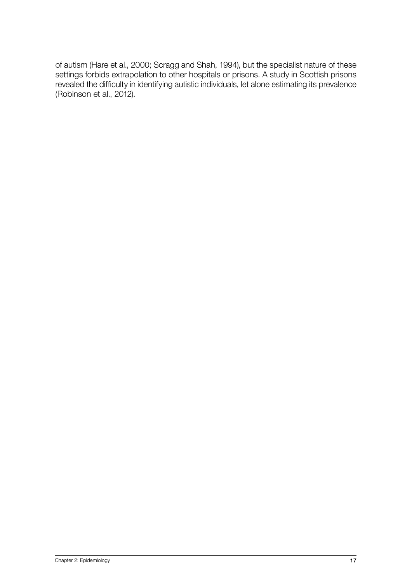of autism (Hare et al., 2000; Scragg and Shah, 1994), but the specialist nature of these settings forbids extrapolation to other hospitals or prisons. A study in Scottish prisons revealed the difficulty in identifying autistic individuals, let alone estimating its prevalence (Robinson et al., 2012).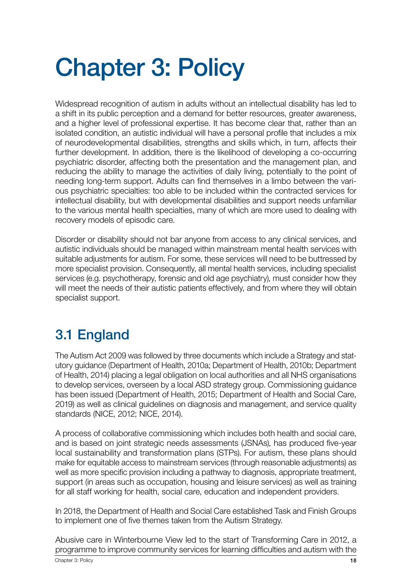# <span id="page-17-0"></span>Chapter 3: Policy

Widespread recognition of autism in adults without an intellectual disability has led to a shift in its public perception and a demand for better resources, greater awareness, and a higher level of professional expertise. It has become clear that, rather than an isolated condition, an autistic individual will have a personal profile that includes a mix of neurodevelopmental disabilities, strengths and skills which, in turn, affects their further development. In addition, there is the likelihood of developing a co-occurring psychiatric disorder, affecting both the presentation and the management plan, and reducing the ability to manage the activities of daily living, potentially to the point of needing long-term support. Adults can find themselves in a limbo between the various psychiatric specialties: too able to be included within the contracted services for intellectual disability, but with developmental disabilities and support needs unfamiliar to the various mental health specialties, many of which are more used to dealing with recovery models of episodic care.

Disorder or disability should not bar anyone from access to any clinical services, and autistic individuals should be managed within mainstream mental health services with suitable adjustments for autism. For some, these services will need to be buttressed by more specialist provision. Consequently, all mental health services, including specialist services (e.g. psychotherapy, forensic and old age psychiatry), must consider how they will meet the needs of their autistic patients effectively, and from where they will obtain specialist support.

# 3.1 England

The Autism Act 2009 was followed by three documents which include a Strategy and statutory guidance (Department of Health, 2010a; Department of Health, 2010b; Department of Health, 2014) placing a legal obligation on local authorities and all NHS organisations to develop services, overseen by a local ASD strategy group. Commissioning guidance has been issued (Department of Health, 2015; Department of Health and Social Care, 2019) as well as clinical guidelines on diagnosis and management, and service quality standards (NICE, 2012; NICE, 2014).

A process of collaborative commissioning which includes both health and social care, and is based on joint strategic needs assessments (JSNAs), has produced five-year local sustainability and transformation plans (STPs). For autism, these plans should make for equitable access to mainstream services (through reasonable adjustments) as well as more specific provision including a pathway to diagnosis, appropriate treatment, support (in areas such as occupation, housing and leisure services) as well as training for all staff working for health, social care, education and independent providers.

In 2018, the Department of Health and Social Care established Task and Finish Groups to implement one of five themes taken from the Autism Strategy.

Abusive care in Winterbourne View led to the start of Transforming Care in 2012, a programme to improve community services for learning difficulties and autism with the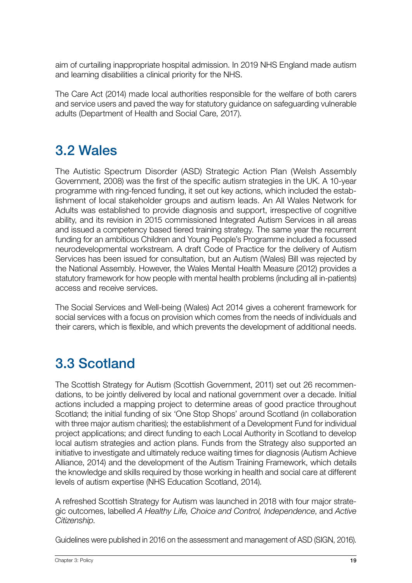<span id="page-18-0"></span>aim of curtailing inappropriate hospital admission. In 2019 NHS England made autism and learning disabilities a clinical priority for the NHS.

The Care Act (2014) made local authorities responsible for the welfare of both carers and service users and paved the way for statutory guidance on safeguarding vulnerable adults (Department of Health and Social Care, 2017).

# 3.2 Wales

The Autistic Spectrum Disorder (ASD) Strategic Action Plan (Welsh Assembly Government, 2008) was the first of the specific autism strategies in the UK. A 10-year programme with ring-fenced funding, it set out key actions, which included the establishment of local stakeholder groups and autism leads. An All Wales Network for Adults was established to provide diagnosis and support, irrespective of cognitive ability, and its revision in 2015 commissioned Integrated Autism Services in all areas and issued a competency based tiered training strategy. The same year the recurrent funding for an ambitious Children and Young People's Programme included a focussed neurodevelopmental workstream. A draft Code of Practice for the delivery of Autism Services has been issued for consultation, but an Autism (Wales) Bill was rejected by the National Assembly. However, the Wales Mental Health Measure (2012) provides a statutory framework for how people with mental health problems (including all in-patients) access and receive services.

The Social Services and Well-being (Wales) Act 2014 gives a coherent framework for social services with a focus on provision which comes from the needs of individuals and their carers, which is flexible, and which prevents the development of additional needs.

# 3.3 Scotland

The Scottish Strategy for Autism (Scottish Government, 2011) set out 26 recommendations, to be jointly delivered by local and national government over a decade. Initial actions included a mapping project to determine areas of good practice throughout Scotland; the initial funding of six 'One Stop Shops' around Scotland (in collaboration with three major autism charities); the establishment of a Development Fund for individual project applications; and direct funding to each Local Authority in Scotland to develop local autism strategies and action plans. Funds from the Strategy also supported an initiative to investigate and ultimately reduce waiting times for diagnosis (Autism Achieve Alliance, 2014) and the development of the Autism Training Framework, which details the knowledge and skills required by those working in health and social care at different levels of autism expertise (NHS Education Scotland, 2014).

A refreshed Scottish Strategy for Autism was launched in 2018 with four major strategic outcomes, labelled *A Healthy Life, Choice and Control, Independence*, and *Active Citizenship*.

Guidelines were published in 2016 on the assessment and management of ASD (SIGN, 2016).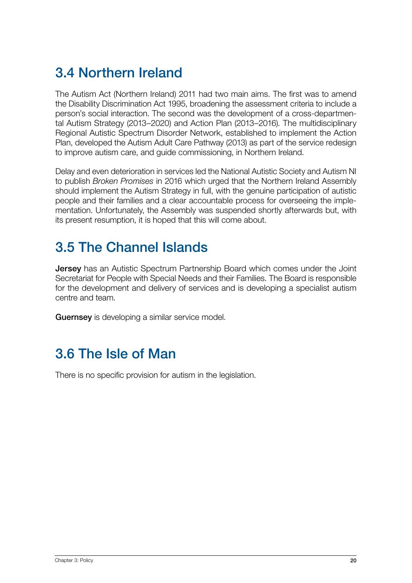# <span id="page-19-0"></span>3.4 Northern Ireland

The Autism Act (Northern Ireland) 2011 had two main aims. The first was to amend the Disability Discrimination Act 1995, broadening the assessment criteria to include a person's social interaction. The second was the development of a cross-departmental Autism Strategy (2013–2020) and Action Plan (2013–2016). The multidisciplinary Regional Autistic Spectrum Disorder Network, established to implement the Action Plan, developed the Autism Adult Care Pathway (2013) as part of the service redesign to improve autism care, and guide commissioning, in Northern Ireland.

Delay and even deterioration in services led the National Autistic Society and Autism NI to publish *Broken Promises* in 2016 which urged that the Northern Ireland Assembly should implement the Autism Strategy in full, with the genuine participation of autistic people and their families and a clear accountable process for overseeing the implementation. Unfortunately, the Assembly was suspended shortly afterwards but, with its present resumption, it is hoped that this will come about.

# 3.5 The Channel Islands

**Jersey** has an Autistic Spectrum Partnership Board which comes under the Joint Secretariat for People with Special Needs and their Families. The Board is responsible for the development and delivery of services and is developing a specialist autism centre and team.

Guernsey is developing a similar service model.

## 3.6 The Isle of Man

There is no specific provision for autism in the legislation.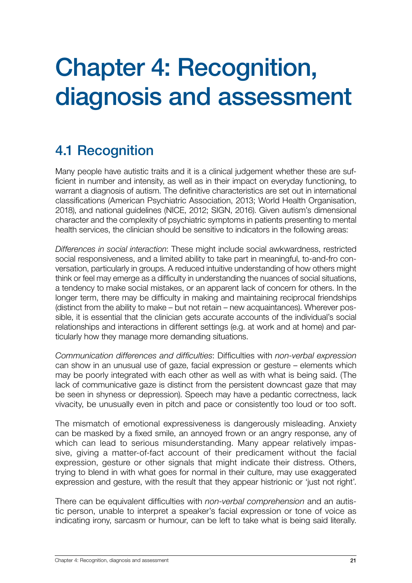# <span id="page-20-0"></span>Chapter 4: Recognition, diagnosis and assessment

# 4.1 Recognition

Many people have autistic traits and it is a clinical judgement whether these are sufficient in number and intensity, as well as in their impact on everyday functioning, to warrant a diagnosis of autism. The definitive characteristics are set out in international classifications (American Psychiatric Association, 2013; World Health Organisation, 2018), and national guidelines (NICE, 2012; SIGN, 2016). Given autism's dimensional character and the complexity of psychiatric symptoms in patients presenting to mental health services, the clinician should be sensitive to indicators in the following areas:

*Differences in social interaction*: These might include social awkwardness, restricted social responsiveness, and a limited ability to take part in meaningful, to-and-fro conversation, particularly in groups. A reduced intuitive understanding of how others might think or feel may emerge as a difficulty in understanding the nuances of social situations, a tendency to make social mistakes, or an apparent lack of concern for others. In the longer term, there may be difficulty in making and maintaining reciprocal friendships (distinct from the ability to make – but not retain – new acquaintances). Wherever possible, it is essential that the clinician gets accurate accounts of the individual's social relationships and interactions in different settings (e.g. at work and at home) and particularly how they manage more demanding situations.

*Communication differences and difficulties*: Difficulties with *non-verbal expression* can show in an unusual use of gaze, facial expression or gesture – elements which may be poorly integrated with each other as well as with what is being said. (The lack of communicative gaze is distinct from the persistent downcast gaze that may be seen in shyness or depression). Speech may have a pedantic correctness, lack vivacity, be unusually even in pitch and pace or consistently too loud or too soft.

The mismatch of emotional expressiveness is dangerously misleading. Anxiety can be masked by a fixed smile, an annoyed frown or an angry response, any of which can lead to serious misunderstanding. Many appear relatively impassive, giving a matter-of-fact account of their predicament without the facial expression, gesture or other signals that might indicate their distress. Others, trying to blend in with what goes for normal in their culture, may use exaggerated expression and gesture, with the result that they appear histrionic or 'just not right'.

There can be equivalent difficulties with *non-verbal comprehension* and an autistic person, unable to interpret a speaker's facial expression or tone of voice as indicating irony, sarcasm or humour, can be left to take what is being said literally.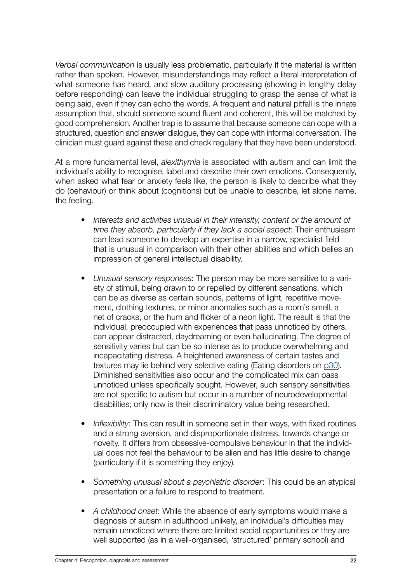<span id="page-21-0"></span>*Verbal communication* is usually less problematic, particularly if the material is written rather than spoken. However, misunderstandings may reflect a literal interpretation of what someone has heard, and slow auditory processing (showing in lengthy delay before responding) can leave the individual struggling to grasp the sense of what is being said, even if they can echo the words. A frequent and natural pitfall is the innate assumption that, should someone sound fluent and coherent, this will be matched by good comprehension. Another trap is to assume that because someone can cope with a structured, question and answer dialogue, they can cope with informal conversation. The clinician must guard against these and check regularly that they have been understood.

At a more fundamental level, *alexithymia* is associated with autism and can limit the individual's ability to recognise, label and describe their own emotions. Consequently, when asked what fear or anxiety feels like, the person is likely to describe what they do (behaviour) or think about (cognitions) but be unable to describe, let alone name, the feeling.

- *• Interests and activities unusual in their intensity, content or the amount of time they absorb, particularly if they lack a social aspect*: Their enthusiasm can lead someone to develop an expertise in a narrow, specialist field that is unusual in comparison with their other abilities and which belies an impression of general intellectual disability.
- *• Unusual sensory responses*: The person may be more sensitive to a variety of stimuli, being drawn to or repelled by different sensations, which can be as diverse as certain sounds, patterns of light, repetitive movement, clothing textures, or minor anomalies such as a room's smell, a net of cracks, or the hum and flicker of a neon light. The result is that the individual, preoccupied with experiences that pass unnoticed by others, can appear distracted, daydreaming or even hallucinating. The degree of sensitivity varies but can be so intense as to produce overwhelming and incapacitating distress. A heightened awareness of certain tastes and textures may lie behind very selective eating (Eating disorders on [p30](#page-29-1)). Diminished sensitivities also occur and the complicated mix can pass unnoticed unless specifically sought. However, such sensory sensitivities are not specific to autism but occur in a number of neurodevelopmental disabilities; only now is their discriminatory value being researched.
- *• Inflexibility*: This can result in someone set in their ways, with fixed routines and a strong aversion, and disproportionate distress, towards change or novelty. It differs from obsessive-compulsive behaviour in that the individual does not feel the behaviour to be alien and has little desire to change (particularly if it is something they enjoy).
- *• Something unusual about a psychiatric disorder*: This could be an atypical presentation or a failure to respond to treatment.
- *• A childhood onset*: While the absence of early symptoms would make a diagnosis of autism in adulthood unlikely, an individual's difficulties may remain unnoticed where there are limited social opportunities or they are well supported (as in a well-organised, 'structured' primary school) and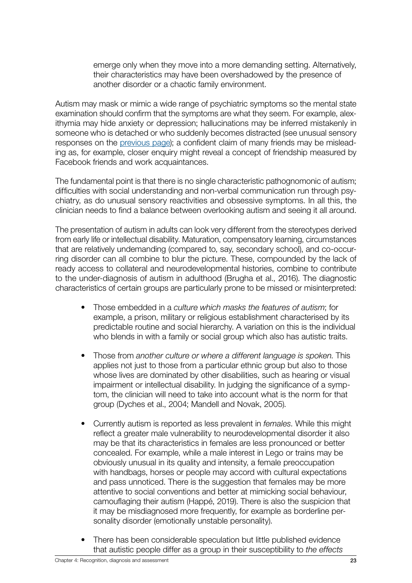emerge only when they move into a more demanding setting. Alternatively, their characteristics may have been overshadowed by the presence of another disorder or a chaotic family environment.

Autism may mask or mimic a wide range of psychiatric symptoms so the mental state examination should confirm that the symptoms are what they seem. For example, alexithymia may hide anxiety or depression; hallucinations may be inferred mistakenly in someone who is detached or who suddenly becomes distracted (see unusual sensory responses on the previous page); a confident claim of many friends may be misleading as, for example, closer enquiry might reveal a concept of friendship measured by Facebook friends and work acquaintances.

The fundamental point is that there is no single characteristic pathognomonic of autism; difficulties with social understanding and non-verbal communication run through psychiatry, as do unusual sensory reactivities and obsessive symptoms. In all this, the clinician needs to find a balance between overlooking autism and seeing it all around.

The presentation of autism in adults can look very different from the stereotypes derived from early life or intellectual disability. Maturation, compensatory learning, circumstances that are relatively undemanding (compared to, say, secondary school), and co-occurring disorder can all combine to blur the picture. These, compounded by the lack of ready access to collateral and neurodevelopmental histories, combine to contribute to the under-diagnosis of autism in adulthood (Brugha et al., 2016). The diagnostic characteristics of certain groups are particularly prone to be missed or misinterpreted:

- Those embedded in a *culture which masks the features of autism*; for example, a prison, military or religious establishment characterised by its predictable routine and social hierarchy. A variation on this is the individual who blends in with a family or social group which also has autistic traits.
- Those from *another culture or where a different language is spoken*. This applies not just to those from a particular ethnic group but also to those whose lives are dominated by other disabilities, such as hearing or visual impairment or intellectual disability. In judging the significance of a symptom, the clinician will need to take into account what is the norm for that group (Dyches et al., 2004; Mandell and Novak, 2005).
- Currently autism is reported as less prevalent in *females*. While this might reflect a greater male vulnerability to neurodevelopmental disorder it also may be that its characteristics in females are less pronounced or better concealed. For example, while a male interest in Lego or trains may be obviously unusual in its quality and intensity, a female preoccupation with handbags, horses or people may accord with cultural expectations and pass unnoticed. There is the suggestion that females may be more attentive to social conventions and better at mimicking social behaviour, camouflaging their autism (Happé, 2019). There is also the suspicion that it may be misdiagnosed more frequently, for example as borderline personality disorder (emotionally unstable personality).
- There has been considerable speculation but little published evidence that autistic people differ as a group in their susceptibility to *the effects*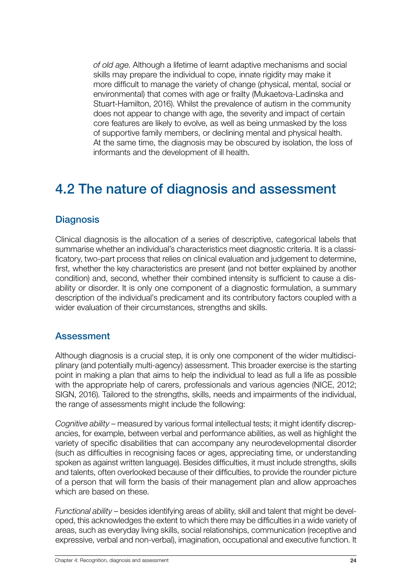<span id="page-23-0"></span>*of old age*. Although a lifetime of learnt adaptive mechanisms and social skills may prepare the individual to cope, innate rigidity may make it more difficult to manage the variety of change (physical, mental, social or environmental) that comes with age or frailty (Mukaetova-Ladinska and Stuart-Hamilton, 2016). Whilst the prevalence of autism in the community does not appear to change with age, the severity and impact of certain core features are likely to evolve, as well as being unmasked by the loss of supportive family members, or declining mental and physical health. At the same time, the diagnosis may be obscured by isolation, the loss of informants and the development of ill health.

## 4.2 The nature of diagnosis and assessment

#### **Diagnosis**

Clinical diagnosis is the allocation of a series of descriptive, categorical labels that summarise whether an individual's characteristics meet diagnostic criteria. It is a classificatory, two-part process that relies on clinical evaluation and judgement to determine, first, whether the key characteristics are present (and not better explained by another condition) and, second, whether their combined intensity is sufficient to cause a disability or disorder. It is only one component of a diagnostic formulation, a summary description of the individual's predicament and its contributory factors coupled with a wider evaluation of their circumstances, strengths and skills.

#### Assessment

Although diagnosis is a crucial step, it is only one component of the wider multidisciplinary (and potentially multi-agency) assessment. This broader exercise is the starting point in making a plan that aims to help the individual to lead as full a life as possible with the appropriate help of carers, professionals and various agencies (NICE, 2012; SIGN, 2016). Tailored to the strengths, skills, needs and impairments of the individual, the range of assessments might include the following:

*Cognitive ability* – measured by various formal intellectual tests; it might identify discrepancies, for example, between verbal and performance abilities, as well as highlight the variety of specific disabilities that can accompany any neurodevelopmental disorder (such as difficulties in recognising faces or ages, appreciating time, or understanding spoken as against written language). Besides difficulties, it must include strengths, skills and talents, often overlooked because of their difficulties, to provide the rounder picture of a person that will form the basis of their management plan and allow approaches which are based on these.

*Functional ability* – besides identifying areas of ability, skill and talent that might be developed, this acknowledges the extent to which there may be difficulties in a wide variety of areas, such as everyday living skills, social relationships, communication (receptive and expressive, verbal and non-verbal), imagination, occupational and executive function. It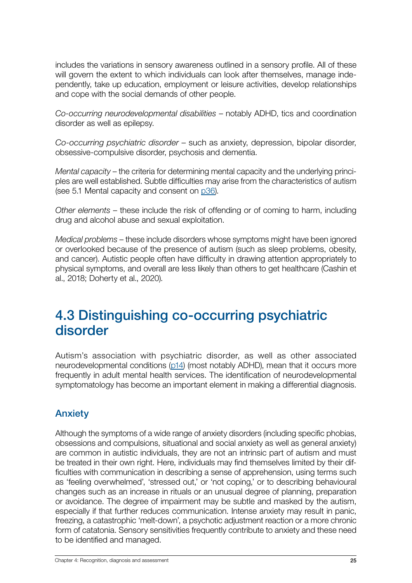<span id="page-24-0"></span>includes the variations in sensory awareness outlined in a sensory profile. All of these will govern the extent to which individuals can look after themselves, manage independently, take up education, employment or leisure activities, develop relationships and cope with the social demands of other people.

*Co-occurring neurodevelopmental disabilities* – notably ADHD, tics and coordination disorder as well as epilepsy.

*Co-occurring psychiatric disorder* – such as anxiety, depression, bipolar disorder, obsessive-compulsive disorder, psychosis and dementia.

*Mental capacity* – the criteria for determining mental capacity and the underlying principles are well established. Subtle difficulties may arise from the characteristics of autism (see 5.1 Mental capacity and consent on p36).

*Other elements* – these include the risk of offending or of coming to harm, including drug and alcohol abuse and sexual exploitation.

*Medical problems* – these include disorders whose symptoms might have been ignored or overlooked because of the presence of autism (such as sleep problems, obesity, and cancer). Autistic people often have difficulty in drawing attention appropriately to physical symptoms, and overall are less likely than others to get healthcare (Cashin et al., 2018; Doherty et al., 2020).

## 4.3 Distinguishing co-occurring psychiatric disorder

Autism's association with psychiatric disorder, as well as other associated neurodevelopmental conditions ([p14\)](#page-13-0) (most notably ADHD), mean that it occurs more frequently in adult mental health services. The identification of neurodevelopmental symptomatology has become an important element in making a differential diagnosis.

## Anxiety

Although the symptoms of a wide range of anxiety disorders (including specific phobias, obsessions and compulsions, situational and social anxiety as well as general anxiety) are common in autistic individuals, they are not an intrinsic part of autism and must be treated in their own right. Here, individuals may find themselves limited by their difficulties with communication in describing a sense of apprehension, using terms such as 'feeling overwhelmed', 'stressed out,' or 'not coping,' or to describing behavioural changes such as an increase in rituals or an unusual degree of planning, preparation or avoidance. The degree of impairment may be subtle and masked by the autism, especially if that further reduces communication. Intense anxiety may result in panic, freezing, a catastrophic 'melt-down', a psychotic adjustment reaction or a more chronic form of catatonia. Sensory sensitivities frequently contribute to anxiety and these need to be identified and managed.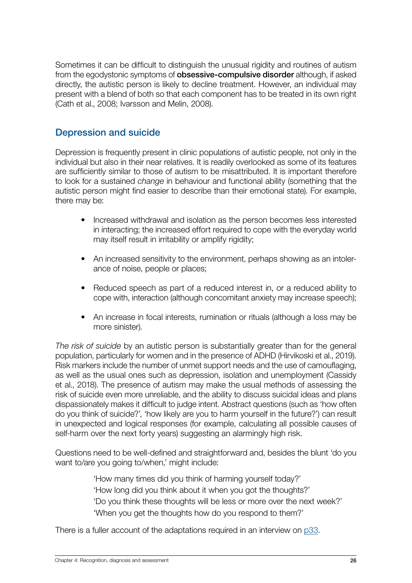<span id="page-25-0"></span>Sometimes it can be difficult to distinguish the unusual rigidity and routines of autism from the egodystonic symptoms of **obsessive-compulsive disorder** although, if asked directly, the autistic person is likely to decline treatment. However, an individual may present with a blend of both so that each component has to be treated in its own right (Cath et al., 2008; Ivarsson and Melin, 2008).

#### Depression and suicide

Depression is frequently present in clinic populations of autistic people, not only in the individual but also in their near relatives. It is readily overlooked as some of its features are sufficiently similar to those of autism to be misattributed. It is important therefore to look for a sustained *change* in behaviour and functional ability (something that the autistic person might find easier to describe than their emotional state). For example, there may be:

- Increased withdrawal and isolation as the person becomes less interested in interacting; the increased effort required to cope with the everyday world may itself result in irritability or amplify rigidity;
- An increased sensitivity to the environment, perhaps showing as an intolerance of noise, people or places;
- Reduced speech as part of a reduced interest in, or a reduced ability to cope with, interaction (although concomitant anxiety may increase speech);
- An increase in focal interests, rumination or rituals (although a loss may be more sinister).

*The risk of suicide* by an autistic person is substantially greater than for the general population, particularly for women and in the presence of ADHD (Hirvikoski et al., 2019). Risk markers include the number of unmet support needs and the use of camouflaging, as well as the usual ones such as depression, isolation and unemployment (Cassidy et al., 2018). The presence of autism may make the usual methods of assessing the risk of suicide even more unreliable, and the ability to discuss suicidal ideas and plans dispassionately makes it difficult to judge intent. Abstract questions (such as 'how often do you think of suicide?', 'how likely are you to harm yourself in the future?') can result in unexpected and logical responses (for example, calculating all possible causes of self-harm over the next forty years) suggesting an alarmingly high risk.

Questions need to be well-defined and straightforward and, besides the blunt 'do you want to/are you going to/when,' might include:

> 'How many times did you think of harming yourself today?' 'How long did you think about it when you got the thoughts?' 'Do you think these thoughts will be less or more over the next week?' 'When you get the thoughts how do you respond to them?'

There is a fuller account of the adaptations required in an interview on [p33.](#page-32-0)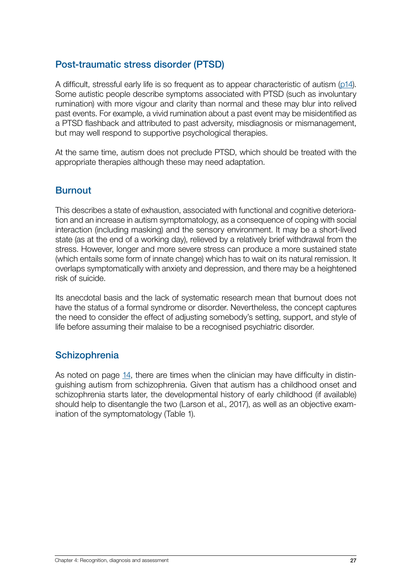### <span id="page-26-0"></span>Post-traumatic stress disorder (PTSD)

A difficult, stressful early life is so frequent as to appear characteristic of autism ([p14\)](#page-13-0). Some autistic people describe symptoms associated with PTSD (such as involuntary rumination) with more vigour and clarity than normal and these may blur into relived past events. For example, a vivid rumination about a past event may be misidentified as a PTSD flashback and attributed to past adversity, misdiagnosis or mismanagement, but may well respond to supportive psychological therapies.

At the same time, autism does not preclude PTSD, which should be treated with the appropriate therapies although these may need adaptation.

### **Burnout**

This describes a state of exhaustion, associated with functional and cognitive deterioration and an increase in autism symptomatology, as a consequence of coping with social interaction (including masking) and the sensory environment. It may be a short-lived state (as at the end of a working day), relieved by a relatively brief withdrawal from the stress. However, longer and more severe stress can produce a more sustained state (which entails some form of innate change) which has to wait on its natural remission. It overlaps symptomatically with anxiety and depression, and there may be a heightened risk of suicide.

Its anecdotal basis and the lack of systematic research mean that burnout does not have the status of a formal syndrome or disorder. Nevertheless, the concept captures the need to consider the effect of adjusting somebody's setting, support, and style of life before assuming their malaise to be a recognised psychiatric disorder.

### **Schizophrenia**

As noted on page [14,](#page-13-0) there are times when the clinician may have difficulty in distinguishing autism from schizophrenia. Given that autism has a childhood onset and schizophrenia starts later, the developmental history of early childhood (if available) should help to disentangle the two (Larson et al., 2017), as well as an objective examination of the symptomatology (Table 1).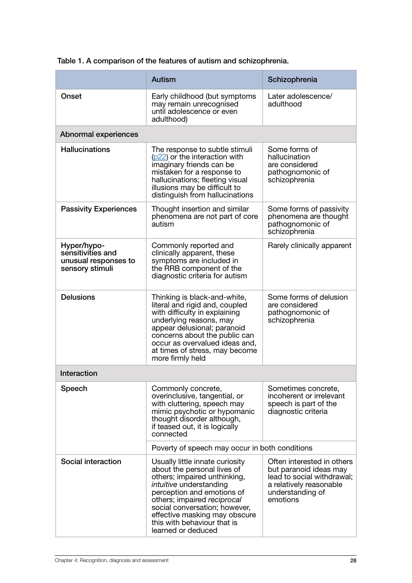|                                                                             | <b>Autism</b>                                                                                                                                                                                                                                                                                                        | Schizophrenia                                                                                                                                 |  |  |
|-----------------------------------------------------------------------------|----------------------------------------------------------------------------------------------------------------------------------------------------------------------------------------------------------------------------------------------------------------------------------------------------------------------|-----------------------------------------------------------------------------------------------------------------------------------------------|--|--|
| Onset                                                                       | Early childhood (but symptoms<br>may remain unrecognised<br>until adolescence or even<br>adulthood)                                                                                                                                                                                                                  | Later adolescence/<br>adulthood                                                                                                               |  |  |
| Abnormal experiences                                                        |                                                                                                                                                                                                                                                                                                                      |                                                                                                                                               |  |  |
| <b>Hallucinations</b>                                                       | The response to subtle stimuli<br>$(p22)$ or the interaction with<br>imaginary friends can be<br>mistaken for a response to<br>hallucinations; fleeting visual<br>illusions may be difficult to<br>distinguish from hallucinations                                                                                   | Some forms of<br>hallucination<br>are considered<br>pathognomonic of<br>schizophrenia                                                         |  |  |
| <b>Passivity Experiences</b>                                                | Thought insertion and similar<br>phenomena are not part of core<br>autism                                                                                                                                                                                                                                            | Some forms of passivity<br>phenomena are thought<br>pathognomonic of<br>schizophrenia                                                         |  |  |
| Hyper/hypo-<br>sensitivities and<br>unusual responses to<br>sensory stimuli | Commonly reported and<br>clinically apparent, these<br>symptoms are included in<br>the RRB component of the<br>diagnostic criteria for autism                                                                                                                                                                        | Rarely clinically apparent                                                                                                                    |  |  |
| <b>Delusions</b>                                                            | Thinking is black-and-white,<br>literal and rigid and, coupled<br>with difficulty in explaining<br>underlying reasons, may<br>appear delusional; paranoid<br>concerns about the public can<br>occur as overvalued ideas and,<br>at times of stress, may become<br>more firmly held                                   | Some forms of delusion<br>are considered<br>pathognomonic of<br>schizophrenia                                                                 |  |  |
| Interaction                                                                 |                                                                                                                                                                                                                                                                                                                      |                                                                                                                                               |  |  |
| Speech                                                                      | Commonly concrete,<br>overinclusive, tangential, or<br>with cluttering, speech may<br>mimic psychotic or hypomanic<br>thought disorder although,<br>if teased out, it is logically<br>connected                                                                                                                      | Sometimes concrete,<br>incoherent or irrelevant<br>speech is part of the<br>diagnostic criteria                                               |  |  |
|                                                                             | Poverty of speech may occur in both conditions                                                                                                                                                                                                                                                                       |                                                                                                                                               |  |  |
| Social interaction                                                          | Usually little innate curiosity<br>about the personal lives of<br>others; impaired unthinking,<br><i>intuitive</i> understanding<br>perception and emotions of<br>others; impaired reciprocal<br>social conversation; however,<br>effective masking may obscure<br>this with behaviour that is<br>learned or deduced | Often interested in others<br>but paranoid ideas may<br>lead to social withdrawal;<br>a relatively reasonable<br>understanding of<br>emotions |  |  |

<span id="page-27-0"></span>Table 1. A comparison of the features of autism and schizophrenia.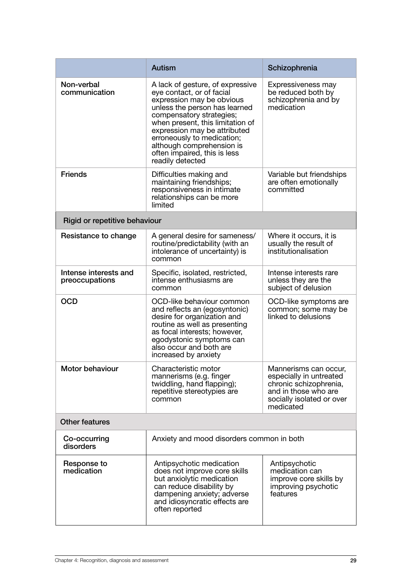|                                         | <b>Autism</b>                                                                                                                                                                                                                                                                                                                              | Schizophrenia                                                                                                                                |  |  |
|-----------------------------------------|--------------------------------------------------------------------------------------------------------------------------------------------------------------------------------------------------------------------------------------------------------------------------------------------------------------------------------------------|----------------------------------------------------------------------------------------------------------------------------------------------|--|--|
| Non-verbal<br>communication             | A lack of gesture, of expressive<br>eye contact, or of facial<br>expression may be obvious<br>unless the person has learned<br>compensatory strategies;<br>when present, this limitation of<br>expression may be attributed<br>erroneously to medication;<br>although comprehension is<br>often impaired, this is less<br>readily detected | Expressiveness may<br>be reduced both by<br>schizophrenia and by<br>medication                                                               |  |  |
| <b>Friends</b>                          | Difficulties making and<br>maintaining friendships;<br>responsiveness in intimate<br>relationships can be more<br>limited                                                                                                                                                                                                                  | Variable but friendships<br>are often emotionally<br>committed                                                                               |  |  |
| Rigid or repetitive behaviour           |                                                                                                                                                                                                                                                                                                                                            |                                                                                                                                              |  |  |
| Resistance to change                    | A general desire for sameness/<br>routine/predictability (with an<br>intolerance of uncertainty) is<br>common                                                                                                                                                                                                                              | Where it occurs, it is<br>usually the result of<br>institutionalisation                                                                      |  |  |
| Intense interests and<br>preoccupations | Specific, isolated, restricted,<br>intense enthusiasms are<br>common                                                                                                                                                                                                                                                                       | Intense interests rare<br>unless they are the<br>subject of delusion                                                                         |  |  |
| <b>OCD</b>                              | OCD-like behaviour common<br>and reflects an (egosyntonic)<br>desire for organization and<br>routine as well as presenting<br>as focal interests; however,<br>egodystonic symptoms can<br>also occur and both are<br>increased by anxiety                                                                                                  | OCD-like symptoms are<br>common; some may be<br>linked to delusions                                                                          |  |  |
| Motor behaviour                         | Characteristic motor<br>mannerisms (e.g. finger<br>twiddling, hand flapping);<br>repetitive stereotypies are<br>common                                                                                                                                                                                                                     | Mannerisms can occur,<br>especially in untreated<br>chronic schizophrenia,<br>and in those who are<br>socially isolated or over<br>medicated |  |  |
| <b>Other features</b>                   |                                                                                                                                                                                                                                                                                                                                            |                                                                                                                                              |  |  |
| Co-occurring<br>disorders               | Anxiety and mood disorders common in both                                                                                                                                                                                                                                                                                                  |                                                                                                                                              |  |  |
| Response to<br>medication               | Antipsychotic medication<br>does not improve core skills<br>but anxiolytic medication<br>can reduce disability by<br>dampening anxiety; adverse<br>and idiosyncratic effects are<br>often reported                                                                                                                                         | Antipsychotic<br>medication can<br>improve core skills by<br>improving psychotic<br>features                                                 |  |  |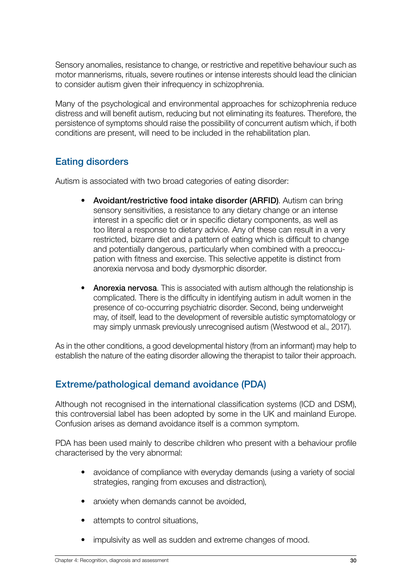<span id="page-29-0"></span>Sensory anomalies, resistance to change, or restrictive and repetitive behaviour such as motor mannerisms, rituals, severe routines or intense interests should lead the clinician to consider autism given their infrequency in schizophrenia.

Many of the psychological and environmental approaches for schizophrenia reduce distress and will benefit autism, reducing but not eliminating its features. Therefore, the persistence of symptoms should raise the possibility of concurrent autism which, if both conditions are present, will need to be included in the rehabilitation plan.

## <span id="page-29-1"></span>Eating disorders

Autism is associated with two broad categories of eating disorder:

- Avoidant/restrictive food intake disorder (ARFID). Autism can bring sensory sensitivities, a resistance to any dietary change or an intense interest in a specific diet or in specific dietary components, as well as too literal a response to dietary advice. Any of these can result in a very restricted, bizarre diet and a pattern of eating which is difficult to change and potentially dangerous, particularly when combined with a preoccupation with fitness and exercise. This selective appetite is distinct from anorexia nervosa and body dysmorphic disorder.
- Anorexia nervosa. This is associated with autism although the relationship is complicated. There is the difficulty in identifying autism in adult women in the presence of co-occurring psychiatric disorder. Second, being underweight may, of itself, lead to the development of reversible autistic symptomatology or may simply unmask previously unrecognised autism (Westwood et al., 2017).

As in the other conditions, a good developmental history (from an informant) may help to establish the nature of the eating disorder allowing the therapist to tailor their approach.

## Extreme/pathological demand avoidance (PDA)

Although not recognised in the international classification systems (ICD and DSM), this controversial label has been adopted by some in the UK and mainland Europe. Confusion arises as demand avoidance itself is a common symptom.

PDA has been used mainly to describe children who present with a behaviour profile characterised by the very abnormal:

- avoidance of compliance with everyday demands (using a variety of social strategies, ranging from excuses and distraction),
- anxiety when demands cannot be avoided,
- attempts to control situations,
- impulsivity as well as sudden and extreme changes of mood.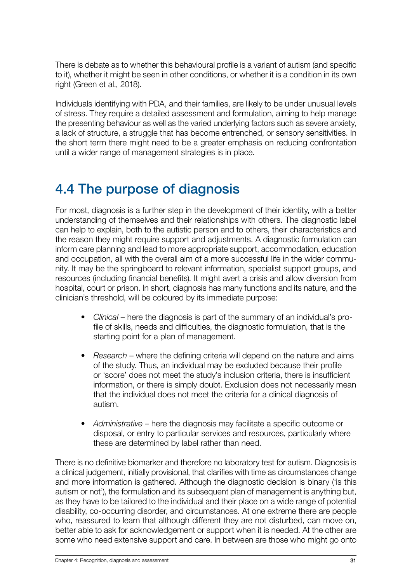<span id="page-30-0"></span>There is debate as to whether this behavioural profile is a variant of autism (and specific to it), whether it might be seen in other conditions, or whether it is a condition in its own right (Green et al., 2018).

Individuals identifying with PDA, and their families, are likely to be under unusual levels of stress. They require a detailed assessment and formulation, aiming to help manage the presenting behaviour as well as the varied underlying factors such as severe anxiety, a lack of structure, a struggle that has become entrenched, or sensory sensitivities. In the short term there might need to be a greater emphasis on reducing confrontation until a wider range of management strategies is in place.

## 4.4 The purpose of diagnosis

For most, diagnosis is a further step in the development of their identity, with a better understanding of themselves and their relationships with others. The diagnostic label can help to explain, both to the autistic person and to others, their characteristics and the reason they might require support and adjustments. A diagnostic formulation can inform care planning and lead to more appropriate support, accommodation, education and occupation, all with the overall aim of a more successful life in the wider community. It may be the springboard to relevant information, specialist support groups, and resources (including financial benefits). It might avert a crisis and allow diversion from hospital, court or prison. In short, diagnosis has many functions and its nature, and the clinician's threshold, will be coloured by its immediate purpose:

- *• Clinical* here the diagnosis is part of the summary of an individual's profile of skills, needs and difficulties, the diagnostic formulation, that is the starting point for a plan of management.
- *• Research* where the defining criteria will depend on the nature and aims of the study. Thus, an individual may be excluded because their profile or 'score' does not meet the study's inclusion criteria, there is insufficient information, or there is simply doubt. Exclusion does not necessarily mean that the individual does not meet the criteria for a clinical diagnosis of autism.
- *• Administrative* here the diagnosis may facilitate a specific outcome or disposal, or entry to particular services and resources, particularly where these are determined by label rather than need.

There is no definitive biomarker and therefore no laboratory test for autism. Diagnosis is a clinical judgement, initially provisional, that clarifies with time as circumstances change and more information is gathered. Although the diagnostic decision is binary ('is this autism or not'), the formulation and its subsequent plan of management is anything but, as they have to be tailored to the individual and their place on a wide range of potential disability, co-occurring disorder, and circumstances. At one extreme there are people who, reassured to learn that although different they are not disturbed, can move on, better able to ask for acknowledgement or support when it is needed. At the other are some who need extensive support and care. In between are those who might go onto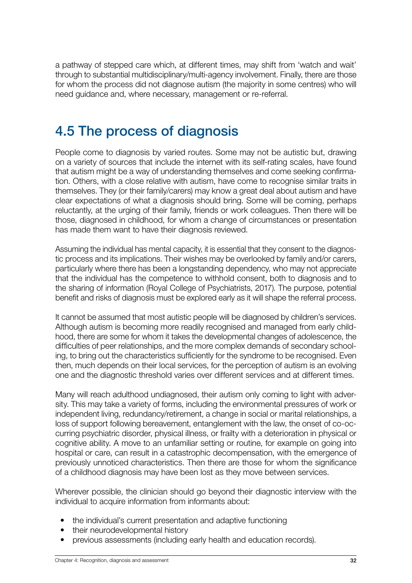<span id="page-31-0"></span>a pathway of stepped care which, at different times, may shift from 'watch and wait' through to substantial multidisciplinary/multi-agency involvement. Finally, there are those for whom the process did not diagnose autism (the majority in some centres) who will need guidance and, where necessary, management or re-referral.

## 4.5 The process of diagnosis

People come to diagnosis by varied routes. Some may not be autistic but, drawing on a variety of sources that include the internet with its self-rating scales, have found that autism might be a way of understanding themselves and come seeking confirmation. Others, with a close relative with autism, have come to recognise similar traits in themselves. They (or their family/carers) may know a great deal about autism and have clear expectations of what a diagnosis should bring. Some will be coming, perhaps reluctantly, at the urging of their family, friends or work colleagues. Then there will be those, diagnosed in childhood, for whom a change of circumstances or presentation has made them want to have their diagnosis reviewed.

Assuming the individual has mental capacity, it is essential that they consent to the diagnostic process and its implications. Their wishes may be overlooked by family and/or carers, particularly where there has been a longstanding dependency, who may not appreciate that the individual has the competence to withhold consent, both to diagnosis and to the sharing of information (Royal College of Psychiatrists, 2017). The purpose, potential benefit and risks of diagnosis must be explored early as it will shape the referral process.

It cannot be assumed that most autistic people will be diagnosed by children's services. Although autism is becoming more readily recognised and managed from early childhood, there are some for whom it takes the developmental changes of adolescence, the difficulties of peer relationships, and the more complex demands of secondary schooling, to bring out the characteristics sufficiently for the syndrome to be recognised. Even then, much depends on their local services, for the perception of autism is an evolving one and the diagnostic threshold varies over different services and at different times.

Many will reach adulthood undiagnosed, their autism only coming to light with adversity. This may take a variety of forms, including the environmental pressures of work or independent living, redundancy/retirement, a change in social or marital relationships, a loss of support following bereavement, entanglement with the law, the onset of co-occurring psychiatric disorder, physical illness, or frailty with a deterioration in physical or cognitive ability. A move to an unfamiliar setting or routine, for example on going into hospital or care, can result in a catastrophic decompensation, with the emergence of previously unnoticed characteristics. Then there are those for whom the significance of a childhood diagnosis may have been lost as they move between services.

Wherever possible, the clinician should go beyond their diagnostic interview with the individual to acquire information from informants about:

- the individual's current presentation and adaptive functioning
- their neurodevelopmental history
- previous assessments (including early health and education records).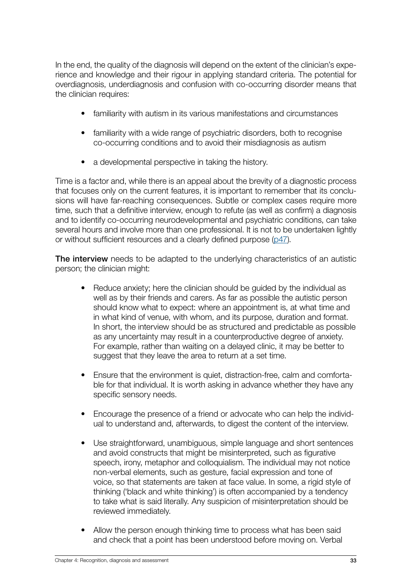<span id="page-32-0"></span>In the end, the quality of the diagnosis will depend on the extent of the clinician's experience and knowledge and their rigour in applying standard criteria. The potential for overdiagnosis, underdiagnosis and confusion with co-occurring disorder means that the clinician requires:

- familiarity with autism in its various manifestations and circumstances
- familiarity with a wide range of psychiatric disorders, both to recognise co-occurring conditions and to avoid their misdiagnosis as autism
- a developmental perspective in taking the history.

Time is a factor and, while there is an appeal about the brevity of a diagnostic process that focuses only on the current features, it is important to remember that its conclusions will have far-reaching consequences. Subtle or complex cases require more time, such that a definitive interview, enough to refute (as well as confirm) a diagnosis and to identify co-occurring neurodevelopmental and psychiatric conditions, can take several hours and involve more than one professional. It is not to be undertaken lightly or without sufficient resources and a clearly defined purpose ([p47](#page-46-0)).

<span id="page-32-1"></span>The interview needs to be adapted to the underlying characteristics of an autistic person; the clinician might:

- Reduce anxiety; here the clinician should be guided by the individual as well as by their friends and carers. As far as possible the autistic person should know what to expect: where an appointment is, at what time and in what kind of venue, with whom, and its purpose, duration and format. In short, the interview should be as structured and predictable as possible as any uncertainty may result in a counterproductive degree of anxiety. For example, rather than waiting on a delayed clinic, it may be better to suggest that they leave the area to return at a set time.
- Ensure that the environment is quiet, distraction-free, calm and comfortable for that individual. It is worth asking in advance whether they have any specific sensory needs.
- Encourage the presence of a friend or advocate who can help the individual to understand and, afterwards, to digest the content of the interview.
- Use straightforward, unambiguous, simple language and short sentences and avoid constructs that might be misinterpreted, such as figurative speech, irony, metaphor and colloquialism. The individual may not notice non-verbal elements, such as gesture, facial expression and tone of voice, so that statements are taken at face value. In some, a rigid style of thinking ('black and white thinking') is often accompanied by a tendency to take what is said literally. Any suspicion of misinterpretation should be reviewed immediately.
- Allow the person enough thinking time to process what has been said and check that a point has been understood before moving on. Verbal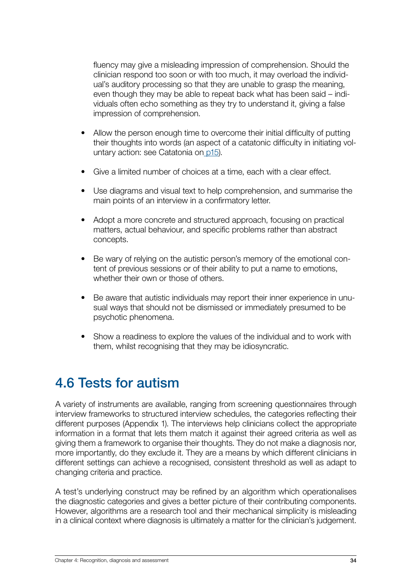<span id="page-33-0"></span>fluency may give a misleading impression of comprehension. Should the clinician respond too soon or with too much, it may overload the individual's auditory processing so that they are unable to grasp the meaning, even though they may be able to repeat back what has been said – individuals often echo something as they try to understand it, giving a false impression of comprehension.

- Allow the person enough time to overcome their initial difficulty of putting their thoughts into words (an aspect of a catatonic difficulty in initiating voluntary action: see Catatonia on [p15](#page-14-1)).
- Give a limited number of choices at a time, each with a clear effect.
- Use diagrams and visual text to help comprehension, and summarise the main points of an interview in a confirmatory letter.
- Adopt a more concrete and structured approach, focusing on practical matters, actual behaviour, and specific problems rather than abstract concepts.
- Be wary of relying on the autistic person's memory of the emotional content of previous sessions or of their ability to put a name to emotions, whether their own or those of others.
- Be aware that autistic individuals may report their inner experience in unusual ways that should not be dismissed or immediately presumed to be psychotic phenomena.
- Show a readiness to explore the values of the individual and to work with them, whilst recognising that they may be idiosyncratic.

## 4.6 Tests for autism

A variety of instruments are available, ranging from screening questionnaires through interview frameworks to structured interview schedules, the categories reflecting their different purposes (Appendix 1). The interviews help clinicians collect the appropriate information in a format that lets them match it against their agreed criteria as well as giving them a framework to organise their thoughts. They do not make a diagnosis nor, more importantly, do they exclude it. They are a means by which different clinicians in different settings can achieve a recognised, consistent threshold as well as adapt to changing criteria and practice.

A test's underlying construct may be refined by an algorithm which operationalises the diagnostic categories and gives a better picture of their contributing components. However, algorithms are a research tool and their mechanical simplicity is misleading in a clinical context where diagnosis is ultimately a matter for the clinician's judgement.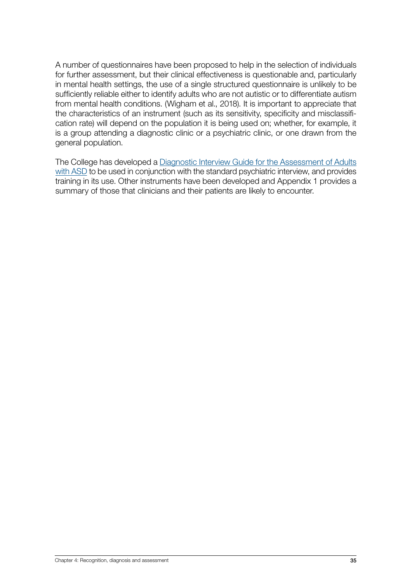A number of questionnaires have been proposed to help in the selection of individuals for further assessment, but their clinical effectiveness is questionable and, particularly in mental health settings, the use of a single structured questionnaire is unlikely to be sufficiently reliable either to identify adults who are not autistic or to differentiate autism from mental health conditions. (Wigham et al., 2018). It is important to appreciate that the characteristics of an instrument (such as its sensitivity, specificity and misclassification rate) will depend on the population it is being used on; whether, for example, it is a group attending a diagnostic clinic or a psychiatric clinic, or one drawn from the general population.

The College has developed a [Diagnostic Interview Guide for the Assessment of Adults](https://www.rcpsych.ac.uk/docs/default-source/members/sigs/neurodevelopmental-psychiatry-special-interest-group-ndpsig/ndpsig-autism-diagnostic-interview-guide-2.pdf?sfvrsn=1dc6557_2) [with ASD](https://www.rcpsych.ac.uk/docs/default-source/members/sigs/neurodevelopmental-psychiatry-special-interest-group-ndpsig/ndpsig-autism-diagnostic-interview-guide-2.pdf?sfvrsn=1dc6557_2) to be used in conjunction with the standard psychiatric interview, and provides training in its use. Other instruments have been developed and Appendix 1 provides a summary of those that clinicians and their patients are likely to encounter.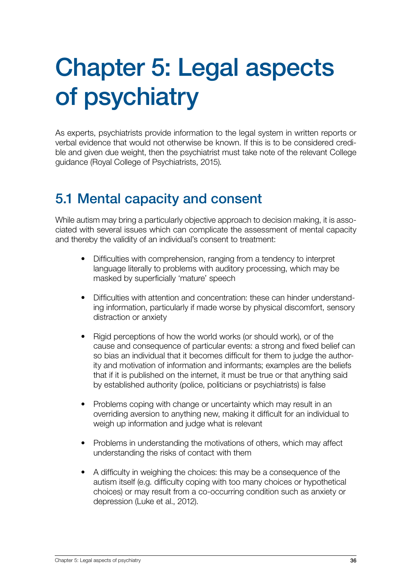# <span id="page-35-0"></span>Chapter 5: Legal aspects of psychiatry

As experts, psychiatrists provide information to the legal system in written reports or verbal evidence that would not otherwise be known. If this is to be considered credible and given due weight, then the psychiatrist must take note of the relevant College guidance (Royal College of Psychiatrists, 2015).

# 5.1 Mental capacity and consent

While autism may bring a particularly objective approach to decision making, it is associated with several issues which can complicate the assessment of mental capacity and thereby the validity of an individual's consent to treatment:

- Difficulties with comprehension, ranging from a tendency to interpret language literally to problems with auditory processing, which may be masked by superficially 'mature' speech
- Difficulties with attention and concentration: these can hinder understanding information, particularly if made worse by physical discomfort, sensory distraction or anxiety
- Rigid perceptions of how the world works (or should work), or of the cause and consequence of particular events: a strong and fixed belief can so bias an individual that it becomes difficult for them to judge the authority and motivation of information and informants; examples are the beliefs that if it is published on the internet, it must be true or that anything said by established authority (police, politicians or psychiatrists) is false
- Problems coping with change or uncertainty which may result in an overriding aversion to anything new, making it difficult for an individual to weigh up information and judge what is relevant
- Problems in understanding the motivations of others, which may affect understanding the risks of contact with them
- A difficulty in weighing the choices: this may be a consequence of the autism itself (e.g. difficulty coping with too many choices or hypothetical choices) or may result from a co-occurring condition such as anxiety or depression (Luke et al., 2012).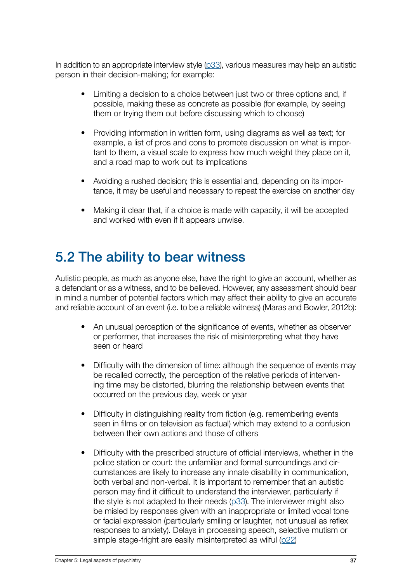<span id="page-36-0"></span>In addition to an appropriate interview style ( $p33$ ), various measures may help an autistic person in their decision-making; for example:

- Limiting a decision to a choice between just two or three options and, if possible, making these as concrete as possible (for example, by seeing them or trying them out before discussing which to choose)
- Providing information in written form, using diagrams as well as text; for example, a list of pros and cons to promote discussion on what is important to them, a visual scale to express how much weight they place on it, and a road map to work out its implications
- Avoiding a rushed decision; this is essential and, depending on its importance, it may be useful and necessary to repeat the exercise on another day
- Making it clear that, if a choice is made with capacity, it will be accepted and worked with even if it appears unwise.

## 5.2 The ability to bear witness

Autistic people, as much as anyone else, have the right to give an account, whether as a defendant or as a witness, and to be believed. However, any assessment should bear in mind a number of potential factors which may affect their ability to give an accurate and reliable account of an event (i.e. to be a reliable witness) (Maras and Bowler, 2012b):

- An unusual perception of the significance of events, whether as observer or performer, that increases the risk of misinterpreting what they have seen or heard
- Difficulty with the dimension of time: although the sequence of events may be recalled correctly, the perception of the relative periods of intervening time may be distorted, blurring the relationship between events that occurred on the previous day, week or year
- Difficulty in distinguishing reality from fiction (e.g. remembering events seen in films or on television as factual) which may extend to a confusion between their own actions and those of others
- Difficulty with the prescribed structure of official interviews, whether in the police station or court: the unfamiliar and formal surroundings and circumstances are likely to increase any innate disability in communication, both verbal and non-verbal. It is important to remember that an autistic person may find it difficult to understand the interviewer, particularly if the style is not adapted to their needs  $(p33)$  $(p33)$ . The interviewer might also be misled by responses given with an inappropriate or limited vocal tone or facial expression (particularly smiling or laughter, not unusual as reflex responses to anxiety). Delays in processing speech, selective mutism or simple stage-fright are easily misinterpreted as wilful ([p22](#page-21-0))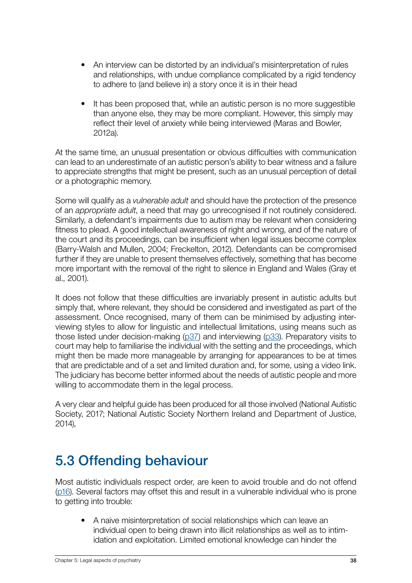- <span id="page-37-0"></span>• An interview can be distorted by an individual's misinterpretation of rules and relationships, with undue compliance complicated by a rigid tendency to adhere to (and believe in) a story once it is in their head
- It has been proposed that, while an autistic person is no more suggestible than anyone else, they may be more compliant. However, this simply may reflect their level of anxiety while being interviewed (Maras and Bowler, 2012a).

At the same time, an unusual presentation or obvious difficulties with communication can lead to an underestimate of an autistic person's ability to bear witness and a failure to appreciate strengths that might be present, such as an unusual perception of detail or a photographic memory.

Some will qualify as a *vulnerable adult* and should have the protection of the presence of an *appropriate adult*, a need that may go unrecognised if not routinely considered. Similarly, a defendant's impairments due to autism may be relevant when considering fitness to plead. A good intellectual awareness of right and wrong, and of the nature of the court and its proceedings, can be insufficient when legal issues become complex (Barry-Walsh and Mullen, 2004; Freckelton, 2012). Defendants can be compromised further if they are unable to present themselves effectively, something that has become more important with the removal of the right to silence in England and Wales (Gray et al., 2001).

It does not follow that these difficulties are invariably present in autistic adults but simply that, where relevant, they should be considered and investigated as part of the assessment. Once recognised, many of them can be minimised by adjusting interviewing styles to allow for linguistic and intellectual limitations, using means such as those listed under decision-making ( $p37$ ) and interviewing ( $p33$ ). Preparatory visits to court may help to familiarise the individual with the setting and the proceedings, which might then be made more manageable by arranging for appearances to be at times that are predictable and of a set and limited duration and, for some, using a video link. The judiciary has become better informed about the needs of autistic people and more willing to accommodate them in the legal process.

A very clear and helpful guide has been produced for all those involved (National Autistic Society, 2017; National Autistic Society Northern Ireland and Department of Justice, 2014),

# 5.3 Offending behaviour

Most autistic individuals respect order, are keen to avoid trouble and do not offend ([p16](#page-15-0)). Several factors may offset this and result in a vulnerable individual who is prone to getting into trouble:

• A naive misinterpretation of social relationships which can leave an individual open to being drawn into illicit relationships as well as to intimidation and exploitation. Limited emotional knowledge can hinder the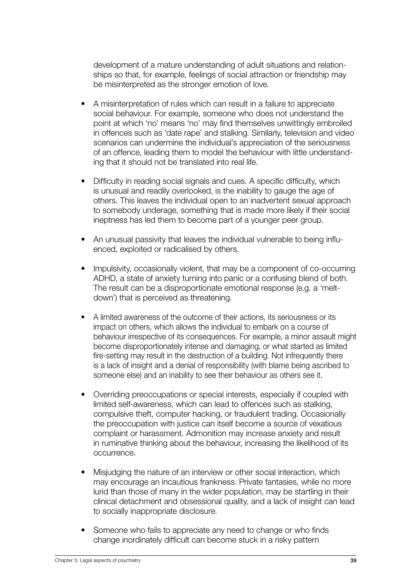development of a mature understanding of adult situations and relationships so that, for example, feelings of social attraction or friendship may be misinterpreted as the stronger emotion of love.

- A misinterpretation of rules which can result in a failure to appreciate social behaviour. For example, someone who does not understand the point at which 'no' means 'no' may find themselves unwittingly embroiled in offences such as 'date rape' and stalking. Similarly, television and video scenarios can undermine the individual's appreciation of the seriousness of an offence, leading them to model the behaviour with little understanding that it should not be translated into real life.
- Difficulty in reading social signals and cues. A specific difficulty, which is unusual and readily overlooked, is the inability to gauge the age of others. This leaves the individual open to an inadvertent sexual approach to somebody underage, something that is made more likely if their social ineptness has led them to become part of a younger peer group.
- An unusual passivity that leaves the individual vulnerable to being influenced, exploited or radicalised by others.
- Impulsivity, occasionally violent, that may be a component of co-occurring ADHD, a state of anxiety turning into panic or a confusing blend of both. The result can be a disproportionate emotional response (e.g. a 'meltdown') that is perceived as threatening.
- A limited awareness of the outcome of their actions, its seriousness or its impact on others, which allows the individual to embark on a course of behaviour irrespective of its consequences. For example, a minor assault might become disproportionately intense and damaging, or what started as limited fire-setting may result in the destruction of a building. Not infrequently there is a lack of insight and a denial of responsibility (with blame being ascribed to someone else) and an inability to see their behaviour as others see it.
- Overriding preoccupations or special interests, especially if coupled with limited self-awareness, which can lead to offences such as stalking, compulsive theft, computer hacking, or fraudulent trading. Occasionally the preoccupation with justice can itself become a source of vexatious complaint or harassment. Admonition may increase anxiety and result in ruminative thinking about the behaviour, increasing the likelihood of its occurrence.
- Misjudging the nature of an interview or other social interaction, which may encourage an incautious frankness. Private fantasies, while no more lurid than those of many in the wider population, may be startling in their clinical detachment and obsessional quality, and a lack of insight can lead to socially inappropriate disclosure.
- Someone who fails to appreciate any need to change or who finds change inordinately difficult can become stuck in a risky pattern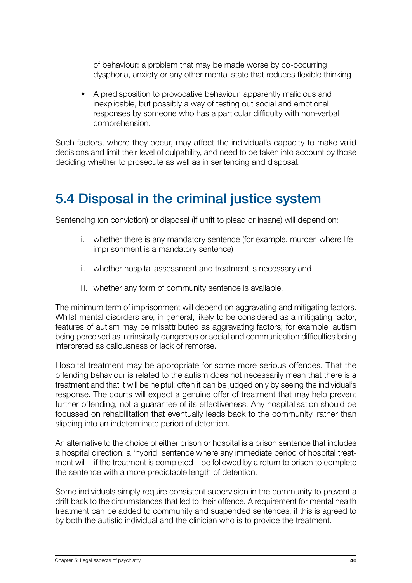<span id="page-39-0"></span>of behaviour: a problem that may be made worse by co-occurring dysphoria, anxiety or any other mental state that reduces flexible thinking

• A predisposition to provocative behaviour, apparently malicious and inexplicable, but possibly a way of testing out social and emotional responses by someone who has a particular difficulty with non-verbal comprehension.

Such factors, where they occur, may affect the individual's capacity to make valid decisions and limit their level of culpability, and need to be taken into account by those deciding whether to prosecute as well as in sentencing and disposal.

## 5.4 Disposal in the criminal justice system

Sentencing (on conviction) or disposal (if unfit to plead or insane) will depend on:

- i. whether there is any mandatory sentence (for example, murder, where life imprisonment is a mandatory sentence)
- ii. whether hospital assessment and treatment is necessary and
- iii. whether any form of community sentence is available.

The minimum term of imprisonment will depend on aggravating and mitigating factors. Whilst mental disorders are, in general, likely to be considered as a mitigating factor, features of autism may be misattributed as aggravating factors; for example, autism being perceived as intrinsically dangerous or social and communication difficulties being interpreted as callousness or lack of remorse.

Hospital treatment may be appropriate for some more serious offences. That the offending behaviour is related to the autism does not necessarily mean that there is a treatment and that it will be helpful; often it can be judged only by seeing the individual's response. The courts will expect a genuine offer of treatment that may help prevent further offending, not a guarantee of its effectiveness. Any hospitalisation should be focussed on rehabilitation that eventually leads back to the community, rather than slipping into an indeterminate period of detention.

An alternative to the choice of either prison or hospital is a prison sentence that includes a hospital direction: a 'hybrid' sentence where any immediate period of hospital treatment will – if the treatment is completed – be followed by a return to prison to complete the sentence with a more predictable length of detention.

Some individuals simply require consistent supervision in the community to prevent a drift back to the circumstances that led to their offence. A requirement for mental health treatment can be added to community and suspended sentences, if this is agreed to by both the autistic individual and the clinician who is to provide the treatment.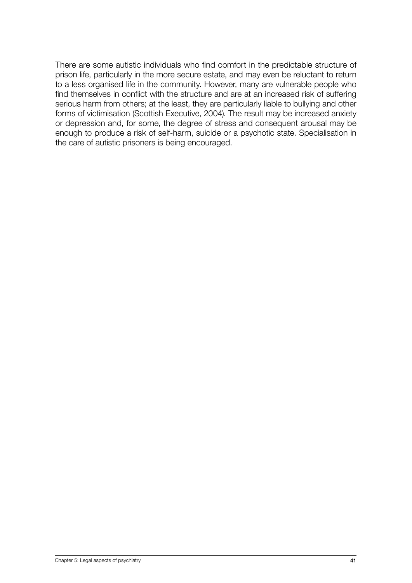There are some autistic individuals who find comfort in the predictable structure of prison life, particularly in the more secure estate, and may even be reluctant to return to a less organised life in the community. However, many are vulnerable people who find themselves in conflict with the structure and are at an increased risk of suffering serious harm from others; at the least, they are particularly liable to bullying and other forms of victimisation (Scottish Executive, 2004). The result may be increased anxiety or depression and, for some, the degree of stress and consequent arousal may be enough to produce a risk of self-harm, suicide or a psychotic state. Specialisation in the care of autistic prisoners is being encouraged.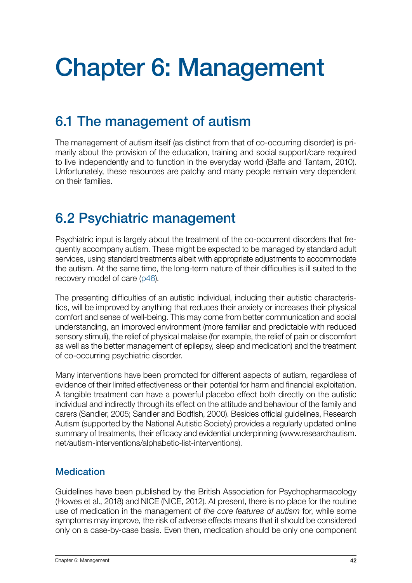# <span id="page-41-0"></span>Chapter 6: Management

# 6.1 The management of autism

The management of autism itself (as distinct from that of co-occurring disorder) is primarily about the provision of the education, training and social support/care required to live independently and to function in the everyday world (Balfe and Tantam, 2010). Unfortunately, these resources are patchy and many people remain very dependent on their families.

## 6.2 Psychiatric management

Psychiatric input is largely about the treatment of the co-occurrent disorders that frequently accompany autism. These might be expected to be managed by standard adult services, using standard treatments albeit with appropriate adjustments to accommodate the autism. At the same time, the long-term nature of their difficulties is ill suited to the recovery model of care [\(p46](#page-45-0)).

The presenting difficulties of an autistic individual, including their autistic characteristics, will be improved by anything that reduces their anxiety or increases their physical comfort and sense of well-being. This may come from better communication and social understanding, an improved environment (more familiar and predictable with reduced sensory stimuli), the relief of physical malaise (for example, the relief of pain or discomfort as well as the better management of epilepsy, sleep and medication) and the treatment of co-occurring psychiatric disorder.

Many interventions have been promoted for different aspects of autism, regardless of evidence of their limited effectiveness or their potential for harm and financial exploitation. A tangible treatment can have a powerful placebo effect both directly on the autistic individual and indirectly through its effect on the attitude and behaviour of the family and carers (Sandler, 2005; Sandler and Bodfish, 2000). Besides official guidelines, Research Autism (supported by the National Autistic Society) provides a regularly updated online summary of treatments, their efficacy and evidential underpinning (www.researchautism. net/autism-interventions/alphabetic-list-interventions).

### **Medication**

Guidelines have been published by the British Association for Psychopharmacology (Howes et al., 2018) and NICE (NICE, 2012). At present, there is no place for the routine use of medication in the management of *the core features of autism* for, while some symptoms may improve, the risk of adverse effects means that it should be considered only on a case-by-case basis. Even then, medication should be only one component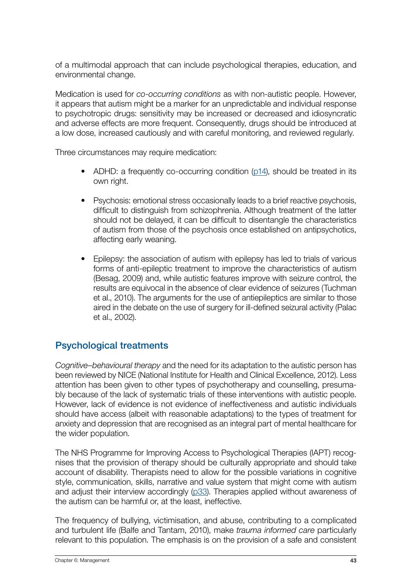<span id="page-42-0"></span>of a multimodal approach that can include psychological therapies, education, and environmental change.

Medication is used for *co-occurring conditions* as with non-autistic people. However, it appears that autism might be a marker for an unpredictable and individual response to psychotropic drugs: sensitivity may be increased or decreased and idiosyncratic and adverse effects are more frequent. Consequently, drugs should be introduced at a low dose, increased cautiously and with careful monitoring, and reviewed regularly.

Three circumstances may require medication:

- ADHD: a frequently co-occurring condition [\(p14](#page-13-0)), should be treated in its own right.
- Psychosis: emotional stress occasionally leads to a brief reactive psychosis, difficult to distinguish from schizophrenia. Although treatment of the latter should not be delayed, it can be difficult to disentangle the characteristics of autism from those of the psychosis once established on antipsychotics, affecting early weaning.
- Epilepsy: the association of autism with epilepsy has led to trials of various forms of anti-epileptic treatment to improve the characteristics of autism (Besag, 2009) and, while autistic features improve with seizure control, the results are equivocal in the absence of clear evidence of seizures (Tuchman et al., 2010). The arguments for the use of antiepileptics are similar to those aired in the debate on the use of surgery for ill-defined seizural activity (Palac et al., 2002).

## Psychological treatments

*Cognitive–behavioural therapy* and the need for its adaptation to the autistic person has been reviewed by NICE (National Institute for Health and Clinical Excellence, 2012). Less attention has been given to other types of psychotherapy and counselling, presumably because of the lack of systematic trials of these interventions with autistic people. However, lack of evidence is not evidence of ineffectiveness and autistic individuals should have access (albeit with reasonable adaptations) to the types of treatment for anxiety and depression that are recognised as an integral part of mental healthcare for the wider population.

The NHS Programme for Improving Access to Psychological Therapies (IAPT) recognises that the provision of therapy should be culturally appropriate and should take account of disability. Therapists need to allow for the possible variations in cognitive style, communication, skills, narrative and value system that might come with autism and adjust their interview accordingly [\(p33](#page-32-0)). Therapies applied without awareness of the autism can be harmful or, at the least, ineffective.

The frequency of bullying, victimisation, and abuse, contributing to a complicated and turbulent life (Balfe and Tantam, 2010), make *trauma informed care* particularly relevant to this population. The emphasis is on the provision of a safe and consistent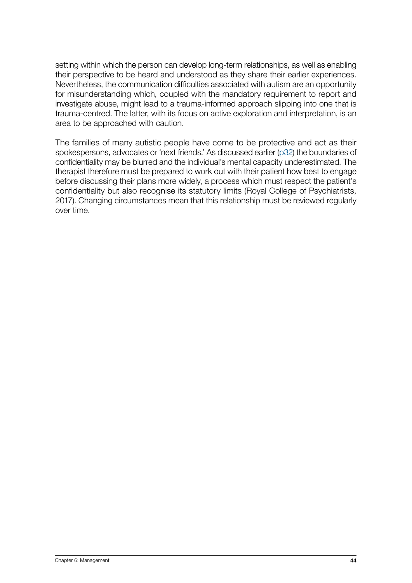setting within which the person can develop long-term relationships, as well as enabling their perspective to be heard and understood as they share their earlier experiences. Nevertheless, the communication difficulties associated with autism are an opportunity for misunderstanding which, coupled with the mandatory requirement to report and investigate abuse, might lead to a trauma-informed approach slipping into one that is trauma-centred. The latter, with its focus on active exploration and interpretation, is an area to be approached with caution.

The families of many autistic people have come to be protective and act as their spokespersons, advocates or 'next friends.' As discussed earlier ([p32\)](#page-31-0) the boundaries of confidentiality may be blurred and the individual's mental capacity underestimated. The therapist therefore must be prepared to work out with their patient how best to engage before discussing their plans more widely, a process which must respect the patient's confidentiality but also recognise its statutory limits (Royal College of Psychiatrists, 2017). Changing circumstances mean that this relationship must be reviewed regularly over time.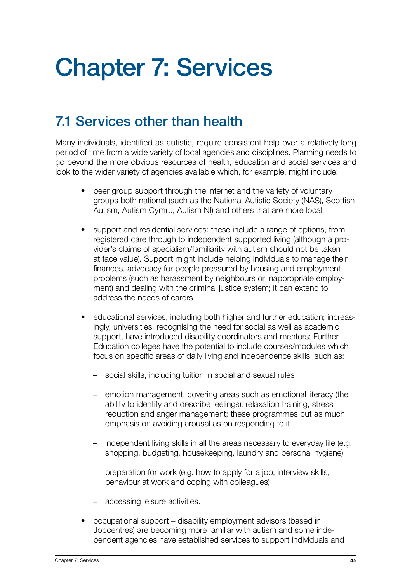# <span id="page-44-0"></span>Chapter 7: Services

# 7.1 Services other than health

Many individuals, identified as autistic, require consistent help over a relatively long period of time from a wide variety of local agencies and disciplines. Planning needs to go beyond the more obvious resources of health, education and social services and look to the wider variety of agencies available which, for example, might include:

- peer group support through the internet and the variety of voluntary groups both national (such as the National Autistic Society (NAS), Scottish Autism, Autism Cymru, Autism NI) and others that are more local
- support and residential services: these include a range of options, from registered care through to independent supported living (although a provider's claims of specialism/familiarity with autism should not be taken at face value). Support might include helping individuals to manage their finances, advocacy for people pressured by housing and employment problems (such as harassment by neighbours or inappropriate employment) and dealing with the criminal justice system; it can extend to address the needs of carers
- educational services, including both higher and further education; increasingly, universities, recognising the need for social as well as academic support, have introduced disability coordinators and mentors; Further Education colleges have the potential to include courses/modules which focus on specific areas of daily living and independence skills, such as:
	- social skills, including tuition in social and sexual rules
	- emotion management, covering areas such as emotional literacy (the ability to identify and describe feelings), relaxation training, stress reduction and anger management; these programmes put as much emphasis on avoiding arousal as on responding to it
	- − independent living skills in all the areas necessary to everyday life (e.g. shopping, budgeting, housekeeping, laundry and personal hygiene)
	- − preparation for work (e.g. how to apply for a job, interview skills, behaviour at work and coping with colleagues)
	- accessing leisure activities.
- occupational support disability employment advisors (based in Jobcentres) are becoming more familiar with autism and some independent agencies have established services to support individuals and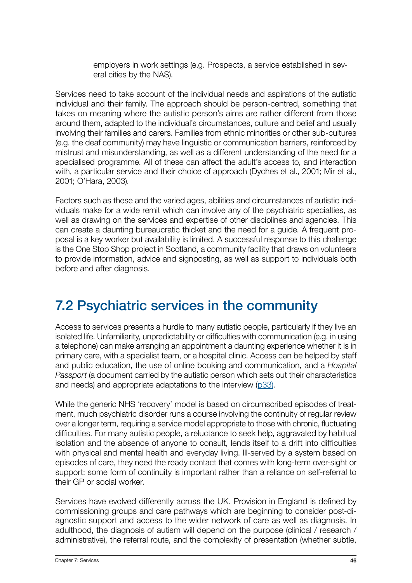employers in work settings (e.g. Prospects, a service established in several cities by the NAS).

<span id="page-45-0"></span>Services need to take account of the individual needs and aspirations of the autistic individual and their family. The approach should be person-centred, something that takes on meaning where the autistic person's aims are rather different from those around them, adapted to the individual's circumstances, culture and belief and usually involving their families and carers. Families from ethnic minorities or other sub-cultures (e.g. the deaf community) may have linguistic or communication barriers, reinforced by mistrust and misunderstanding, as well as a different understanding of the need for a specialised programme. All of these can affect the adult's access to, and interaction with, a particular service and their choice of approach (Dyches et al., 2001; Mir et al., 2001; O'Hara, 2003).

Factors such as these and the varied ages, abilities and circumstances of autistic individuals make for a wide remit which can involve any of the psychiatric specialties, as well as drawing on the services and expertise of other disciplines and agencies. This can create a daunting bureaucratic thicket and the need for a guide. A frequent proposal is a key worker but availability is limited. A successful response to this challenge is the One Stop Shop project in Scotland, a community facility that draws on volunteers to provide information, advice and signposting, as well as support to individuals both before and after diagnosis.

## 7.2 Psychiatric services in the community

Access to services presents a hurdle to many autistic people, particularly if they live an isolated life. Unfamiliarity, unpredictability or difficulties with communication (e.g. in using a telephone) can make arranging an appointment a daunting experience whether it is in primary care, with a specialist team, or a hospital clinic. Access can be helped by staff and public education, the use of online booking and communication, and a *Hospital Passport* (a document carried by the autistic person which sets out their characteristics and needs) and appropriate adaptations to the interview [\(p33\).](#page-32-0)

While the generic NHS 'recovery' model is based on circumscribed episodes of treatment, much psychiatric disorder runs a course involving the continuity of regular review over a longer term, requiring a service model appropriate to those with chronic, fluctuating difficulties. For many autistic people, a reluctance to seek help, aggravated by habitual isolation and the absence of anyone to consult, lends itself to a drift into difficulties with physical and mental health and everyday living. Ill-served by a system based on episodes of care, they need the ready contact that comes with long-term over-sight or support: some form of continuity is important rather than a reliance on self-referral to their GP or social worker.

Services have evolved differently across the UK. Provision in England is defined by commissioning groups and care pathways which are beginning to consider post-diagnostic support and access to the wider network of care as well as diagnosis. In adulthood, the diagnosis of autism will depend on the purpose (clinical / research / administrative), the referral route, and the complexity of presentation (whether subtle,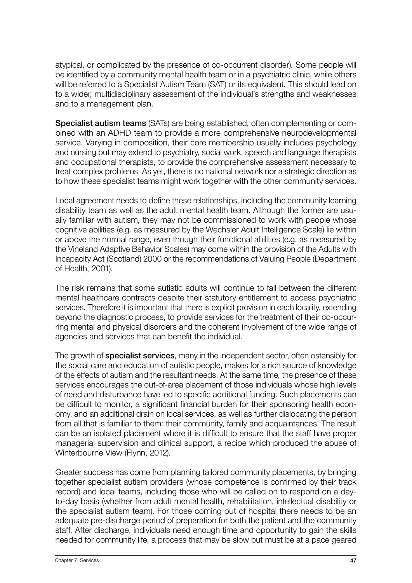<span id="page-46-0"></span>atypical, or complicated by the presence of co-occurrent disorder). Some people will be identified by a community mental health team or in a psychiatric clinic, while others will be referred to a Specialist Autism Team (SAT) or its equivalent. This should lead on to a wider, multidisciplinary assessment of the individual's strengths and weaknesses and to a management plan.

Specialist autism teams (SATs) are being established, often complementing or combined with an ADHD team to provide a more comprehensive neurodevelopmental service. Varying in composition, their core membership usually includes psychology and nursing but may extend to psychiatry, social work, speech and language therapists and occupational therapists, to provide the comprehensive assessment necessary to treat complex problems. As yet, there is no national network nor a strategic direction as to how these specialist teams might work together with the other community services.

Local agreement needs to define these relationships, including the community learning disability team as well as the adult mental health team. Although the former are usually familiar with autism, they may not be commissioned to work with people whose cognitive abilities (e.g. as measured by the Wechsler Adult Intelligence Scale) lie within or above the normal range, even though their functional abilities (e.g. as measured by the Vineland Adaptive Behavior Scales) may come within the provision of the Adults with Incapacity Act (Scotland) 2000 or the recommendations of Valuing People (Department of Health, 2001).

The risk remains that some autistic adults will continue to fall between the different mental healthcare contracts despite their statutory entitlement to access psychiatric services. Therefore it is important that there is explicit provision in each locality, extending beyond the diagnostic process, to provide services for the treatment of their co-occurring mental and physical disorders and the coherent involvement of the wide range of agencies and services that can benefit the individual.

The growth of **specialist services**, many in the independent sector, often ostensibly for the social care and education of autistic people, makes for a rich source of knowledge of the effects of autism and the resultant needs. At the same time, the presence of these services encourages the out-of-area placement of those individuals whose high levels of need and disturbance have led to specific additional funding. Such placements can be difficult to monitor, a significant financial burden for their sponsoring health economy, and an additional drain on local services, as well as further dislocating the person from all that is familiar to them: their community, family and acquaintances. The result can be an isolated placement where it is difficult to ensure that the staff have proper managerial supervision and clinical support, a recipe which produced the abuse of Winterbourne View (Flynn, 2012).

Greater success has come from planning tailored community placements, by bringing together specialist autism providers (whose competence is confirmed by their track record) and local teams, including those who will be called on to respond on a dayto-day basis (whether from adult mental health, rehabilitation, intellectual disability or the specialist autism team). For those coming out of hospital there needs to be an adequate pre-discharge period of preparation for both the patient and the community staff. After discharge, individuals need enough time and opportunity to gain the skills needed for community life, a process that may be slow but must be at a pace geared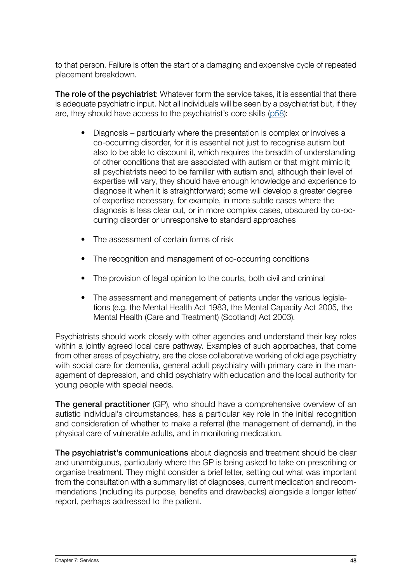to that person. Failure is often the start of a damaging and expensive cycle of repeated placement breakdown.

The role of the psychiatrist: Whatever form the service takes, it is essential that there is adequate psychiatric input. Not all individuals will be seen by a psychiatrist but, if they are, they should have access to the psychiatrist's core skills [\(p58](#page-57-0)):

- Diagnosis particularly where the presentation is complex or involves a co-occurring disorder, for it is essential not just to recognise autism but also to be able to discount it, which requires the breadth of understanding of other conditions that are associated with autism or that might mimic it; all psychiatrists need to be familiar with autism and, although their level of expertise will vary, they should have enough knowledge and experience to diagnose it when it is straightforward; some will develop a greater degree of expertise necessary, for example, in more subtle cases where the diagnosis is less clear cut, or in more complex cases, obscured by co-occurring disorder or unresponsive to standard approaches
- The assessment of certain forms of risk
- The recognition and management of co-occurring conditions
- The provision of legal opinion to the courts, both civil and criminal
- The assessment and management of patients under the various legislations (e.g. the Mental Health Act 1983, the Mental Capacity Act 2005, the Mental Health (Care and Treatment) (Scotland) Act 2003).

Psychiatrists should work closely with other agencies and understand their key roles within a jointly agreed local care pathway. Examples of such approaches, that come from other areas of psychiatry, are the close collaborative working of old age psychiatry with social care for dementia, general adult psychiatry with primary care in the management of depression, and child psychiatry with education and the local authority for young people with special needs.

The general practitioner (GP), who should have a comprehensive overview of an autistic individual's circumstances, has a particular key role in the initial recognition and consideration of whether to make a referral (the management of demand), in the physical care of vulnerable adults, and in monitoring medication.

The psychiatrist's communications about diagnosis and treatment should be clear and unambiguous, particularly where the GP is being asked to take on prescribing or organise treatment. They might consider a brief letter, setting out what was important from the consultation with a summary list of diagnoses, current medication and recommendations (including its purpose, benefits and drawbacks) alongside a longer letter/ report, perhaps addressed to the patient.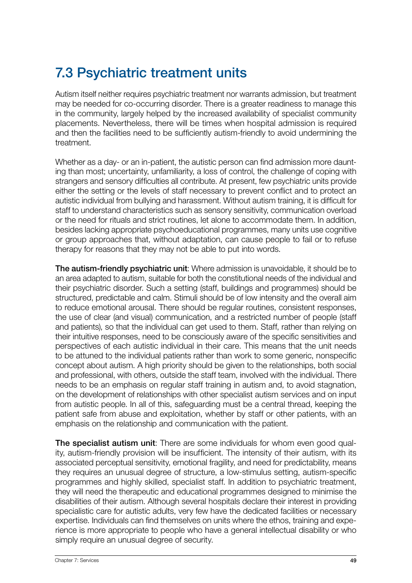# <span id="page-48-0"></span>7.3 Psychiatric treatment units

Autism itself neither requires psychiatric treatment nor warrants admission, but treatment may be needed for co-occurring disorder. There is a greater readiness to manage this in the community, largely helped by the increased availability of specialist community placements. Nevertheless, there will be times when hospital admission is required and then the facilities need to be sufficiently autism-friendly to avoid undermining the treatment.

Whether as a day- or an in-patient, the autistic person can find admission more daunting than most; uncertainty, unfamiliarity, a loss of control, the challenge of coping with strangers and sensory difficulties all contribute. At present, few psychiatric units provide either the setting or the levels of staff necessary to prevent conflict and to protect an autistic individual from bullying and harassment. Without autism training, it is difficult for staff to understand characteristics such as sensory sensitivity, communication overload or the need for rituals and strict routines, let alone to accommodate them. In addition, besides lacking appropriate psychoeducational programmes, many units use cognitive or group approaches that, without adaptation, can cause people to fail or to refuse therapy for reasons that they may not be able to put into words.

The autism-friendly psychiatric unit: Where admission is unavoidable, it should be to an area adapted to autism, suitable for both the constitutional needs of the individual and their psychiatric disorder. Such a setting (staff, buildings and programmes) should be structured, predictable and calm. Stimuli should be of low intensity and the overall aim to reduce emotional arousal. There should be regular routines, consistent responses, the use of clear (and visual) communication, and a restricted number of people (staff and patients), so that the individual can get used to them. Staff, rather than relying on their intuitive responses, need to be consciously aware of the specific sensitivities and perspectives of each autistic individual in their care. This means that the unit needs to be attuned to the individual patients rather than work to some generic, nonspecific concept about autism. A high priority should be given to the relationships, both social and professional, with others, outside the staff team, involved with the individual. There needs to be an emphasis on regular staff training in autism and, to avoid stagnation, on the development of relationships with other specialist autism services and on input from autistic people. In all of this, safeguarding must be a central thread, keeping the patient safe from abuse and exploitation, whether by staff or other patients, with an emphasis on the relationship and communication with the patient.

The specialist autism unit: There are some individuals for whom even good quality, autism-friendly provision will be insufficient. The intensity of their autism, with its associated perceptual sensitivity, emotional fragility, and need for predictability, means they requires an unusual degree of structure, a low-stimulus setting, autism-specific programmes and highly skilled, specialist staff. In addition to psychiatric treatment, they will need the therapeutic and educational programmes designed to minimise the disabilities of their autism. Although several hospitals declare their interest in providing specialistic care for autistic adults, very few have the dedicated facilities or necessary expertise. Individuals can find themselves on units where the ethos, training and experience is more appropriate to people who have a general intellectual disability or who simply require an unusual degree of security.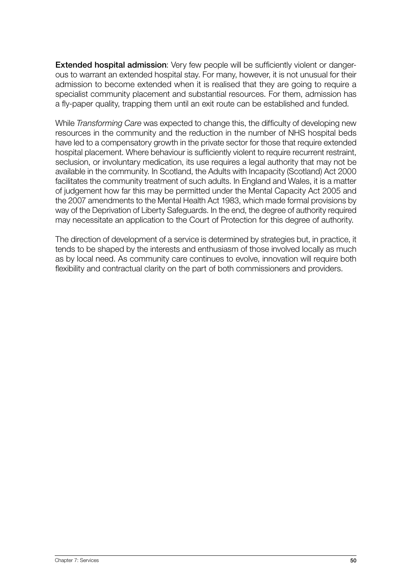Extended hospital admission: Very few people will be sufficiently violent or dangerous to warrant an extended hospital stay. For many, however, it is not unusual for their admission to become extended when it is realised that they are going to require a specialist community placement and substantial resources. For them, admission has a fly-paper quality, trapping them until an exit route can be established and funded.

While *Transforming Care* was expected to change this, the difficulty of developing new resources in the community and the reduction in the number of NHS hospital beds have led to a compensatory growth in the private sector for those that require extended hospital placement. Where behaviour is sufficiently violent to require recurrent restraint, seclusion, or involuntary medication, its use requires a legal authority that may not be available in the community. In Scotland, the Adults with Incapacity (Scotland) Act 2000 facilitates the community treatment of such adults. In England and Wales, it is a matter of judgement how far this may be permitted under the Mental Capacity Act 2005 and the 2007 amendments to the Mental Health Act 1983, which made formal provisions by way of the Deprivation of Liberty Safeguards. In the end, the degree of authority required may necessitate an application to the Court of Protection for this degree of authority.

The direction of development of a service is determined by strategies but, in practice, it tends to be shaped by the interests and enthusiasm of those involved locally as much as by local need. As community care continues to evolve, innovation will require both flexibility and contractual clarity on the part of both commissioners and providers.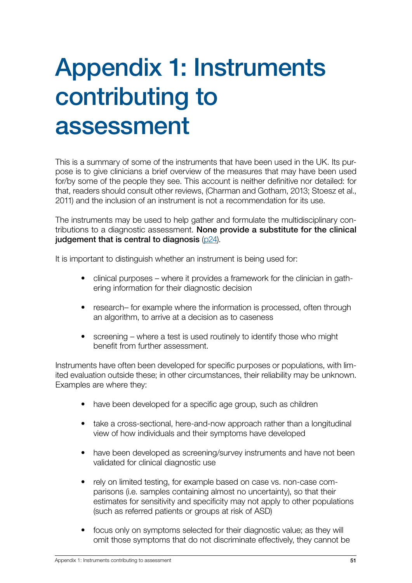# <span id="page-50-0"></span>Appendix 1: Instruments contributing to assessment

This is a summary of some of the instruments that have been used in the UK. Its purpose is to give clinicians a brief overview of the measures that may have been used for/by some of the people they see. This account is neither definitive nor detailed: for that, readers should consult other reviews, (Charman and Gotham, 2013; Stoesz et al., 2011) and the inclusion of an instrument is not a recommendation for its use.

The instruments may be used to help gather and formulate the multidisciplinary contributions to a diagnostic assessment. None provide a substitute for the clinical judgement that is central to diagnosis ([p2](#page-23-0)4).

It is important to distinguish whether an instrument is being used for:

- clinical purposes where it provides a framework for the clinician in gathering information for their diagnostic decision
- research– for example where the information is processed, often through an algorithm, to arrive at a decision as to caseness
- screening where a test is used routinely to identify those who might benefit from further assessment.

Instruments have often been developed for specific purposes or populations, with limited evaluation outside these; in other circumstances, their reliability may be unknown. Examples are where they:

- have been developed for a specific age group, such as children
- take a cross-sectional, here-and-now approach rather than a longitudinal view of how individuals and their symptoms have developed
- have been developed as screening/survey instruments and have not been validated for clinical diagnostic use
- rely on limited testing, for example based on case vs. non-case comparisons (i.e. samples containing almost no uncertainty), so that their estimates for sensitivity and specificity may not apply to other populations (such as referred patients or groups at risk of ASD)
- focus only on symptoms selected for their diagnostic value; as they will omit those symptoms that do not discriminate effectively, they cannot be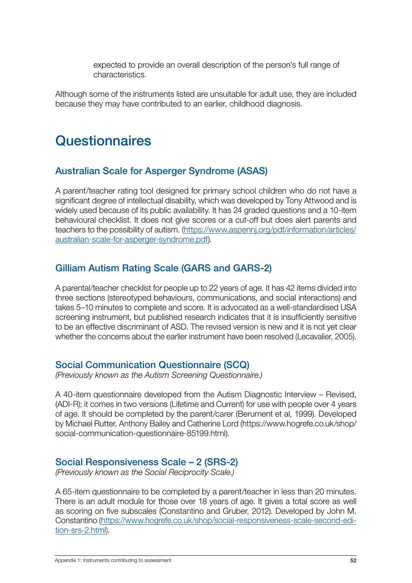expected to provide an overall description of the person's full range of characteristics.

<span id="page-51-0"></span>Although some of the instruments listed are unsuitable for adult use, they are included because they may have contributed to an earlier, childhood diagnosis.

## **Questionnaires**

## Australian Scale for Asperger Syndrome (ASAS)

A parent/teacher rating tool designed for primary school children who do not have a significant degree of intellectual disability, which was developed by Tony Attwood and is widely used because of its public availability. It has 24 graded questions and a 10-item behavioural checklist. It does not give scores or a cut-off but does alert parents and teachers to the possibility of autism. ([https://www.aspennj.org/pdf/information/articles/](https://www.aspennj.org/pdf/information/articles/australian-scale-for-asperger-syndrome.pdf) [australian-scale-for-asperger-syndrome.pdf\)](https://www.aspennj.org/pdf/information/articles/australian-scale-for-asperger-syndrome.pdf).

## Gilliam Autism Rating Scale (GARS and GARS-2)

A parental/teacher checklist for people up to 22 years of age. It has 42 items divided into three sections (stereotyped behaviours, communications, and social interactions) and takes 5–10 minutes to complete and score. It is advocated as a well-standardised USA screening instrument, but published research indicates that it is insufficiently sensitive to be an effective discriminant of ASD. The revised version is new and it is not yet clear whether the concerns about the earlier instrument have been resolved (Lecavalier, 2005).

#### Social Communication Questionnaire (SCQ)

*(Previously known as the Autism Screening Questionnaire.)*

A 40-item questionnaire developed from the Autism Diagnostic Interview – Revised, (ADI-R); it comes in two versions (Lifetime and Current) for use with people over 4 years of age. It should be completed by the parent/carer (Berument et al, 1999). Developed by Michael Rutter, Anthony Bailey and Catherine Lord (https://www.hogrefe.co.uk/shop/ social-communication-questionnaire-85199.html).

### Social Responsiveness Scale – 2 (SRS-2)

*(Previously known as the Social Reciprocity Scale.)* 

A 65-item questionnaire to be completed by a parent/teacher in less than 20 minutes. There is an adult module for those over 18 years of age. It gives a total score as well as scoring on five subscales (Constantino and Gruber, 2012). Developed by John M. Constantino [\(https://www.hogrefe.co.uk/shop/social-responsiveness-scale-second-edi](https://www.hogrefe.co.uk/shop/social-responsiveness-scale-second-edition-srs-2.html)[tion-srs-2.htm](https://www.hogrefe.co.uk/shop/social-responsiveness-scale-second-edition-srs-2.html)[l\).](https://www.parinc.com/Products/Pkey/426))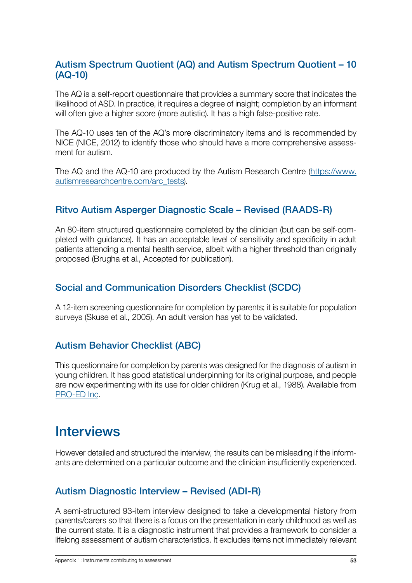#### <span id="page-52-0"></span>Autism Spectrum Quotient (AQ) and Autism Spectrum Quotient – 10 (AQ-10)

The AQ is a self-report questionnaire that provides a summary score that indicates the likelihood of ASD. In practice, it requires a degree of insight; completion by an informant will often give a higher score (more autistic). It has a high false-positive rate.

The AQ-10 uses ten of the AQ's more discriminatory items and is recommended by NICE (NICE, 2012) to identify those who should have a more comprehensive assessment for autism.

The AQ and the AQ-10 are produced by the Autism Research Centre ([https://www.](https://www.autismresearchcentre.com/arc_tests) [autismresearchcentre.com/arc\\_tests\)](https://www.autismresearchcentre.com/arc_tests).

## Ritvo Autism Asperger Diagnostic Scale – Revised (RAADS-R)

An 80-item structured questionnaire completed by the clinician (but can be self-completed with guidance). It has an acceptable level of sensitivity and specificity in adult patients attending a mental health service, albeit with a higher threshold than originally proposed (Brugha et al., Accepted for publication).

### Social and Communication Disorders Checklist (SCDC)

A 12-item screening questionnaire for completion by parents; it is suitable for population surveys (Skuse et al., 2005). An adult version has yet to be validated.

## Autism Behavior Checklist (ABC)

This questionnaire for completion by parents was designed for the diagnosis of autism in young children. It has good statistical underpinning for its original purpose, and people are now experimenting with its use for older children (Krug et al., 1988). Available from [PRO-ED Inc](https://www.proedinc.com/Products/12742/asiep3-autism-behavior-checklist-record-forms-25.aspx).

## **Interviews**

However detailed and structured the interview, the results can be misleading if the informants are determined on a particular outcome and the clinician insufficiently experienced.

### Autism Diagnostic Interview – Revised (ADI-R)

A semi-structured 93-item interview designed to take a developmental history from parents/carers so that there is a focus on the presentation in early childhood as well as the current state. It is a diagnostic instrument that provides a framework to consider a lifelong assessment of autism characteristics. It excludes items not immediately relevant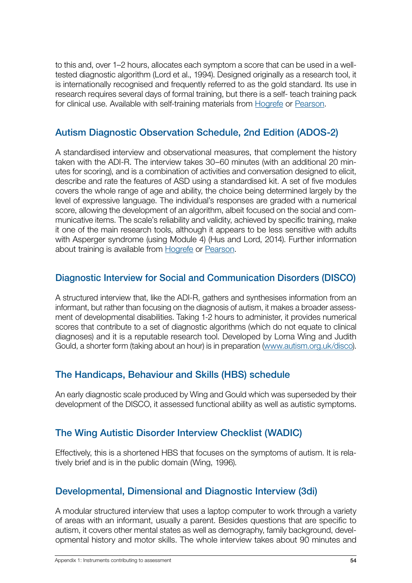<span id="page-53-0"></span>to this and, over 1–2 hours, allocates each symptom a score that can be used in a welltested diagnostic algorithm (Lord et al., 1994). Designed originally as a research tool, it is internationally recognised and frequently referred to as the gold standard. Its use in research requires several days of formal training, but there is a self- teach training pack for clinical use. Available with self-training materials from [Hogrefe](https://www.hogrefe.co.uk/shop/tests.html) or [Pearson.](https://www.pearsonclinical.co.uk/)

### Autism Diagnostic Observation Schedule, 2nd Edition (ADOS-2)

A standardised interview and observational measures, that complement the history taken with the ADI-R. The interview takes 30–60 minutes (with an additional 20 minutes for scoring), and is a combination of activities and conversation designed to elicit, describe and rate the features of ASD using a standardised kit. A set of five modules covers the whole range of age and ability, the choice being determined largely by the level of expressive language. The individual's responses are graded with a numerical score, allowing the development of an algorithm, albeit focused on the social and communicative items. The scale's reliability and validity, achieved by specific training, make it one of the main research tools, although it appears to be less sensitive with adults with Asperger syndrome (using Module 4) (Hus and Lord, 2014). Further information about training is available from [Hogrefe](https://www.hogrefe.co.uk/shop/tests.html) or [Pearson.](https://www.pearsonclinical.co.uk/)

## Diagnostic Interview for Social and Communication Disorders (DISCO)

A structured interview that, like the ADI-R, gathers and synthesises information from an informant, but rather than focusing on the diagnosis of autism, it makes a broader assessment of developmental disabilities. Taking 1-2 hours to administer, it provides numerical scores that contribute to a set of diagnostic algorithms (which do not equate to clinical diagnoses) and it is a reputable research tool. Developed by Lorna Wing and Judith Gould, a shorter form (taking about an hour) is in preparation ([www.autism.org.uk/disco\)](www.autism.org.uk/disco).

### The Handicaps, Behaviour and Skills (HBS) schedule

An early diagnostic scale produced by Wing and Gould which was superseded by their development of the DISCO, it assessed functional ability as well as autistic symptoms.

### The Wing Autistic Disorder Interview Checklist (WADIC)

Effectively, this is a shortened HBS that focuses on the symptoms of autism. It is relatively brief and is in the public domain (Wing, 1996).

### Developmental, Dimensional and Diagnostic Interview (3di)

A modular structured interview that uses a laptop computer to work through a variety of areas with an informant, usually a parent. Besides questions that are specific to autism, it covers other mental states as well as demography, family background, developmental history and motor skills. The whole interview takes about 90 minutes and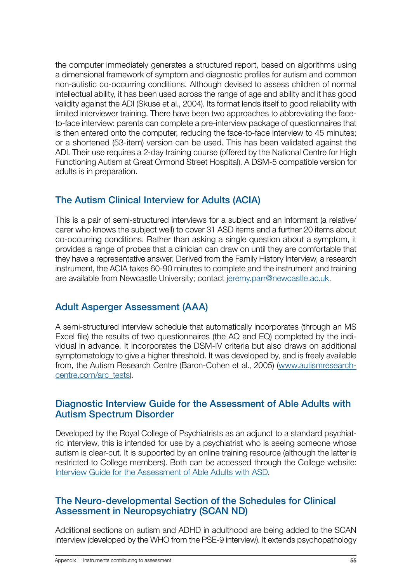<span id="page-54-0"></span>the computer immediately generates a structured report, based on algorithms using a dimensional framework of symptom and diagnostic profiles for autism and common non-autistic co-occurring conditions. Although devised to assess children of normal intellectual ability, it has been used across the range of age and ability and it has good validity against the ADI (Skuse et al., 2004). Its format lends itself to good reliability with limited interviewer training. There have been two approaches to abbreviating the faceto-face interview: parents can complete a pre-interview package of questionnaires that is then entered onto the computer, reducing the face-to-face interview to 45 minutes; or a shortened (53-item) version can be used. This has been validated against the ADI. Their use requires a 2-day training course (offered by the National Centre for High Functioning Autism at Great Ormond Street Hospital). A DSM-5 compatible version for adults is in preparation.

## The Autism Clinical Interview for Adults (ACIA)

This is a pair of semi-structured interviews for a subject and an informant (a relative/ carer who knows the subject well) to cover 31 ASD items and a further 20 items about co-occurring conditions. Rather than asking a single question about a symptom, it provides a range of probes that a clinician can draw on until they are comfortable that they have a representative answer. Derived from the Family History Interview, a research instrument, the ACIA takes 60-90 minutes to complete and the instrument and training are available from Newcastle University; contact [jeremy.parr@newcastle.ac.uk](mailto:jeremy.parr@newcastle.ac.uk).

## Adult Asperger Assessment (AAA)

A semi-structured interview schedule that automatically incorporates (through an MS Excel file) the results of two questionnaires (the AQ and EQ) completed by the individual in advance. It incorporates the DSM-IV criteria but also draws on additional symptomatology to give a higher threshold. It was developed by, and is freely available from, the Autism Research Centre (Baron-Cohen et al., 2005) ([www.autismresearch](www.autismresearchcentre.com/arc_tests)[centre.com/arc\\_tests](www.autismresearchcentre.com/arc_tests)).

#### Diagnostic Interview Guide for the Assessment of Able Adults with Autism Spectrum Disorder

Developed by the Royal College of Psychiatrists as an adjunct to a standard psychiatric interview, this is intended for use by a psychiatrist who is seeing someone whose autism is clear-cut. It is supported by an online training resource (although the latter is restricted to College members). Both can be accessed through the College website: Interview Guide for the Assessment of Able Adults with ASD.

#### The Neuro-developmental Section of the Schedules for Clinical Assessment in Neuropsychiatry (SCAN ND)

Additional sections on autism and ADHD in adulthood are being added to the SCAN interview (developed by the WHO from the PSE-9 interview). It extends psychopathology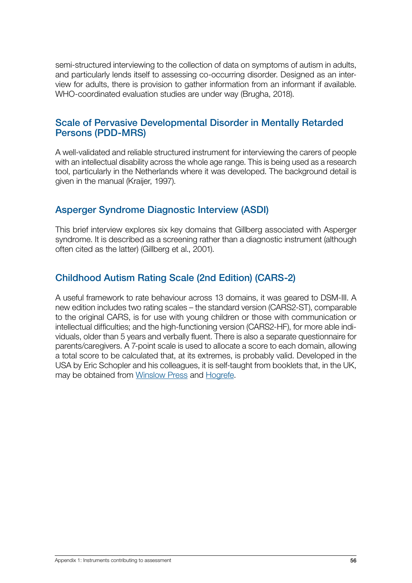<span id="page-55-0"></span>semi-structured interviewing to the collection of data on symptoms of autism in adults, and particularly lends itself to assessing co-occurring disorder. Designed as an interview for adults, there is provision to gather information from an informant if available. WHO-coordinated evaluation studies are under way (Brugha, 2018).

#### Scale of Pervasive Developmental Disorder in Mentally Retarded Persons (PDD-MRS)

A well-validated and reliable structured instrument for interviewing the carers of people with an intellectual disability across the whole age range. This is being used as a research tool, particularly in the Netherlands where it was developed. The background detail is given in the manual (Kraijer, 1997).

### Asperger Syndrome Diagnostic Interview (ASDI)

This brief interview explores six key domains that Gillberg associated with Asperger syndrome. It is described as a screening rather than a diagnostic instrument (although often cited as the latter) (Gillberg et al., 2001).

## Childhood Autism Rating Scale (2nd Edition) (CARS-2)

A useful framework to rate behaviour across 13 domains, it was geared to DSM-III. A new edition includes two rating scales – the standard version (CARS2-ST), comparable to the original CARS, is for use with young children or those with communication or intellectual difficulties; and the high-functioning version (CARS2-HF), for more able individuals, older than 5 years and verbally fluent. There is also a separate questionnaire for parents/caregivers. A 7-point scale is used to allocate a score to each domain, allowing a total score to be calculated that, at its extremes, is probably valid. Developed in the USA by Eric Schopler and his colleagues, it is self-taught from booklets that, in the UK, may be obtained from [Winslow Press](www.winslowresources.com) and [Hogrefe](https://www.hogrefe.co.uk/shop/tests.html).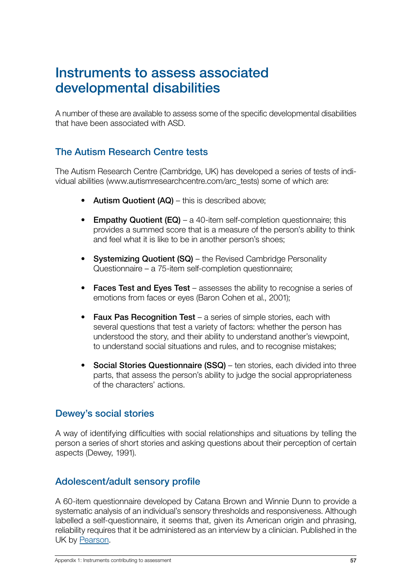## <span id="page-56-0"></span>Instruments to assess associated developmental disabilities

A number of these are available to assess some of the specific developmental disabilities that have been associated with ASD.

## The Autism Research Centre tests

The Autism Research Centre (Cambridge, UK) has developed a series of tests of individual abilities (www.autismresearchcentre.com/arc\_tests) some of which are:

- Autism Quotient (AQ) this is described above;
- Empathy Quotient  $(EQ) a 40$ -item self-completion questionnaire; this provides a summed score that is a measure of the person's ability to think and feel what it is like to be in another person's shoes;
- Systemizing Quotient (SQ) the Revised Cambridge Personality Questionnaire – a 75-item self-completion questionnaire;
- Faces Test and Eyes Test assesses the ability to recognise a series of emotions from faces or eyes (Baron Cohen et al., 2001);
- Faux Pas Recognition Test a series of simple stories, each with several questions that test a variety of factors: whether the person has understood the story, and their ability to understand another's viewpoint, to understand social situations and rules, and to recognise mistakes;
- Social Stories Questionnaire (SSQ) ten stories, each divided into three parts, that assess the person's ability to judge the social appropriateness of the characters' actions.

#### Dewey's social stories

A way of identifying difficulties with social relationships and situations by telling the person a series of short stories and asking questions about their perception of certain aspects (Dewey, 1991).

#### Adolescent/adult sensory profile

A 60-item questionnaire developed by Catana Brown and Winnie Dunn to provide a systematic analysis of an individual's sensory thresholds and responsiveness. Although labelled a self-questionnaire, it seems that, given its American origin and phrasing, reliability requires that it be administered as an interview by a clinician. Published in the UK by [Pearson](https://www.pearsonclinical.co.uk/).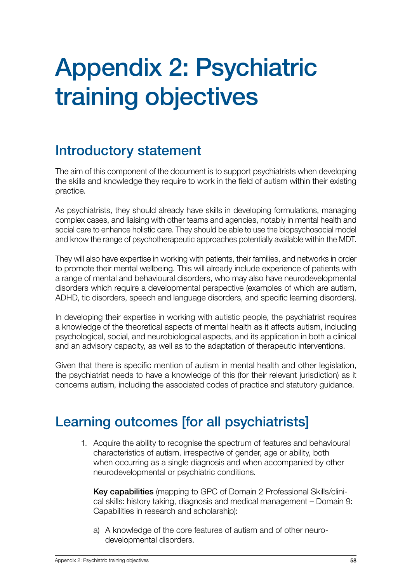# <span id="page-57-0"></span>Appendix 2: Psychiatric training objectives

# Introductory statement

The aim of this component of the document is to support psychiatrists when developing the skills and knowledge they require to work in the field of autism within their existing practice.

As psychiatrists, they should already have skills in developing formulations, managing complex cases, and liaising with other teams and agencies, notably in mental health and social care to enhance holistic care. They should be able to use the biopsychosocial model and know the range of psychotherapeutic approaches potentially available within the MDT.

They will also have expertise in working with patients, their families, and networks in order to promote their mental wellbeing. This will already include experience of patients with a range of mental and behavioural disorders, who may also have neurodevelopmental disorders which require a developmental perspective (examples of which are autism, ADHD, tic disorders, speech and language disorders, and specific learning disorders).

In developing their expertise in working with autistic people, the psychiatrist requires a knowledge of the theoretical aspects of mental health as it affects autism, including psychological, social, and neurobiological aspects, and its application in both a clinical and an advisory capacity, as well as to the adaptation of therapeutic interventions.

Given that there is specific mention of autism in mental health and other legislation, the psychiatrist needs to have a knowledge of this (for their relevant jurisdiction) as it concerns autism, including the associated codes of practice and statutory guidance.

## Learning outcomes [for all psychiatrists]

1. Acquire the ability to recognise the spectrum of features and behavioural characteristics of autism, irrespective of gender, age or ability, both when occurring as a single diagnosis and when accompanied by other neurodevelopmental or psychiatric conditions.

Key capabilities (mapping to GPC of Domain 2 Professional Skills/clinical skills: history taking, diagnosis and medical management – Domain 9: Capabilities in research and scholarship):

a) A knowledge of the core features of autism and of other neurodevelopmental disorders.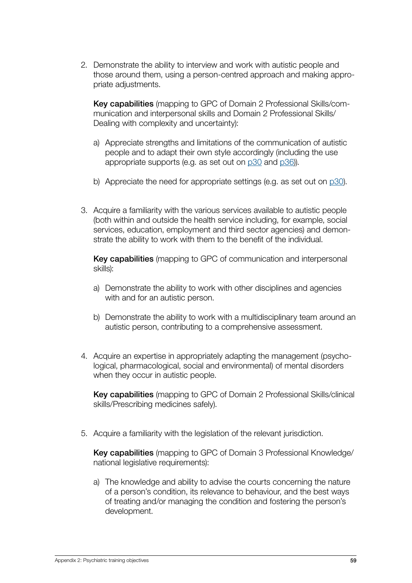2. Demonstrate the ability to interview and work with autistic people and those around them, using a person-centred approach and making appropriate adjustments.

Key capabilities (mapping to GPC of Domain 2 Professional Skills/communication and interpersonal skills and Domain 2 Professional Skills/ Dealing with complexity and uncertainty):

- a) Appreciate strengths and limitations of the communication of autistic people and to adapt their own style accordingly (including the use appropriate supports (e.g. as set out on [p30](#page-29-0) and [p36\)](#page-35-0)).
- b) Appreciate the need for appropriate settings (e.g. as set out on  $p30$ ).
- 3. Acquire a familiarity with the various services available to autistic people (both within and outside the health service including, for example, social services, education, employment and third sector agencies) and demonstrate the ability to work with them to the benefit of the individual.

Key capabilities (mapping to GPC of communication and interpersonal skills):

- a) Demonstrate the ability to work with other disciplines and agencies with and for an autistic person.
- b) Demonstrate the ability to work with a multidisciplinary team around an autistic person, contributing to a comprehensive assessment.
- 4. Acquire an expertise in appropriately adapting the management (psychological, pharmacological, social and environmental) of mental disorders when they occur in autistic people.

Key capabilities (mapping to GPC of Domain 2 Professional Skills/clinical skills/Prescribing medicines safely).

5. Acquire a familiarity with the legislation of the relevant jurisdiction.

Key capabilities (mapping to GPC of Domain 3 Professional Knowledge/ national legislative requirements):

a) The knowledge and ability to advise the courts concerning the nature of a person's condition, its relevance to behaviour, and the best ways of treating and/or managing the condition and fostering the person's development.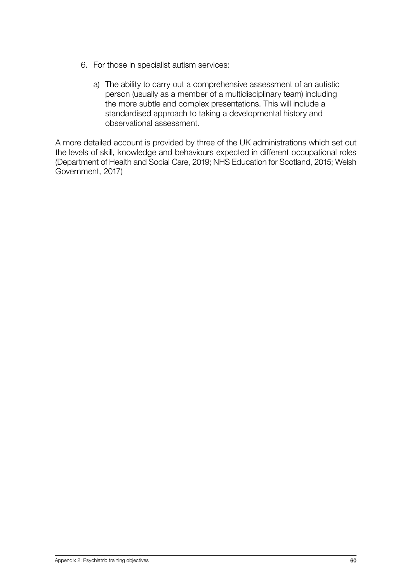- 6. For those in specialist autism services:
	- a) The ability to carry out a comprehensive assessment of an autistic person (usually as a member of a multidisciplinary team) including the more subtle and complex presentations. This will include a standardised approach to taking a developmental history and observational assessment.

A more detailed account is provided by three of the UK administrations which set out the levels of skill, knowledge and behaviours expected in different occupational roles (Department of Health and Social Care, 2019; NHS Education for Scotland, 2015; Welsh Government, 2017)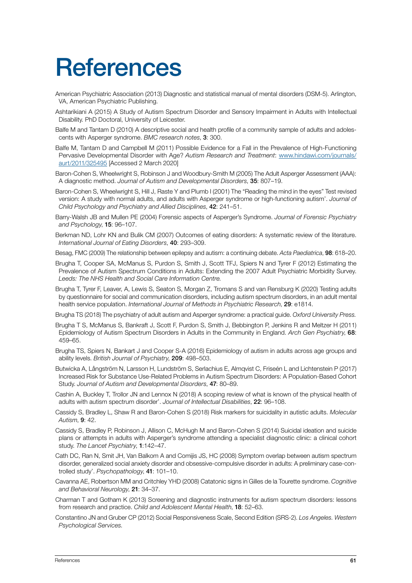# <span id="page-60-0"></span>**References**

- American Psychiatric Association (2013) Diagnostic and statistical manual of mental disorders (DSM-5). Arlington, VA, American Psychiatric Publishing.
- Ashtarikiani A (2015) A Study of Autism Spectrum Disorder and Sensory Impairment in Adults with Intellectual Disability. PhD Doctoral, University of Leicester.
- Balfe M and Tantam D (2010) A descriptive social and health profile of a community sample of adults and adolescents with Asperger syndrome. *BMC research notes*, 3: 300.
- Balfe M, Tantam D and Campbell M (2011) Possible Evidence for a Fall in the Prevalence of High-Functioning Pervasive Developmental Disorder with Age? *Autism Research and Treatment*: [www.hindawi.com/journals/](www.hindawi.com/journals/aurt/2011/325495) [aurt/2011/325495](www.hindawi.com/journals/aurt/2011/325495) [Accessed 2 March 2020]
- Baron-Cohen S, Wheelwright S, Robinson J and Woodbury-Smith M (2005) The Adult Asperger Assessment (AAA): A diagnostic method. *Journal of Autism and Developmental Disorders*, 35: 807–19.
- Baron-Cohen S, Wheelwright S, Hill J, Raste Y and Plumb I (2001) The "Reading the mind in the eyes" Test revised version: A study with normal adults, and adults with Asperger syndrome or high-functioning autism'. *Journal of Child Psychology and Psychiatry and Allied Disciplines*, 42: 241–51.
- Barry-Walsh JB and Mullen PE (2004) Forensic aspects of Asperger's Syndrome. *Journal of Forensic Psychiatry and Psychology*, 15: 96–107.
- Berkman ND, Lohr KN and Bulik CM (2007) Outcomes of eating disorders: A systematic review of the literature. *International Journal of Eating Disorders*, 40: 293–309.
- Besag, FMC (2009) The relationship between epilepsy and autism: a continuing debate. *Acta Paediatrica*, 98: 618–20.
- Brugha T, Cooper SA, McManus S, Purdon S, Smith J, Scott TFJ, Spiers N and Tyrer F (2012) Estimating the Prevalence of Autism Spectrum Conditions in Adults: Extending the 2007 Adult Psychiatric Morbidity Survey. *Leeds: The NHS Health and Social Care Information Centre.*
- Brugha T, Tyrer F, Leaver, A, Lewis S, Seaton S, Morgan Z, Tromans S and van Rensburg K (2020) Testing adults by questionnaire for social and communication disorders, including autism spectrum disorders, in an adult mental health service population. *International Journal of Methods in Psychiatric Research*, 29: e1814.
- Brugha TS (2018) The psychiatry of adult autism and Asperger syndrome: a practical guide. *Oxford University Press.*
- Brugha T S, McManus S, Bankraft J, Scott F, Purdon S, Smith J, Bebbington P, Jenkins R and Meltzer H (2011) Epidemiology of Autism Spectrum Disorders in Adults in the Community in England. *Arch Gen Psychiatry*, 68: 459–65.
- Brugha TS, Spiers N, Bankart J and Cooper S-A (2016) Epidemiology of autism in adults across age groups and ability levels. *British Journal of Psychiatry*, 209: 498–503.
- Butwicka A, Långström N, Larsson H, Lundström S, Serlachius E, Almqvist C, Friseén L and Lichtenstein P (2017) Increased Risk for Substance Use-Related Problems in Autism Spectrum Disorders: A Population-Based Cohort Study. *Journal of Autism and Developmental Disorders*, 47: 80–89.
- Cashin A, Buckley T, Trollor JN and Lennox N (2018) A scoping review of what is known of the physical health of adults with autism spectrum disorder'. *Journal of Intellectual Disabilities*, 22: 96–108.
- Cassidy S, Bradley L, Shaw R and Baron-Cohen S (2018) Risk markers for suicidality in autistic adults. *Molecular Autism*, 9: 42.
- Cassidy S, Bradley P, Robinson J, Allison C, McHugh M and Baron-Cohen S (2014) Suicidal ideation and suicide plans or attempts in adults with Asperger's syndrome attending a specialist diagnostic clinic: a clinical cohort study. *The Lancet Psychiatry*, 1:142–47.
- Cath DC, Ran N, Smit JH, Van Balkom A and Comijis JS, HC (2008) Symptom overlap between autism spectrum disorder, generalized social anxiety disorder and obsessive-compulsive disorder in adults: A preliminary case-controlled study'. *Psychopathology*, 41: 101–10.
- Cavanna AE, Robertson MM and Critchley YHD (2008) Catatonic signs in Gilles de la Tourette syndrome. *Cognitive and Behavioral Neurology*, 21: 34–37.
- Charman T and Gotham K (2013) Screening and diagnostic instruments for autism spectrum disorders: lessons from research and practice. *Child and Adolescent Mental Health*, 18: 52–63.
- Constantino JN and Gruber CP (2012) Social Responsiveness Scale, Second Edition (SRS-2). *Los Angeles. Western Psychological Services.*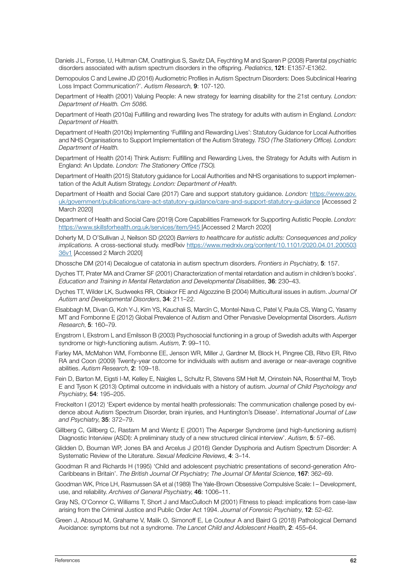- Daniels J L, Forsse, U, Hultman CM, Cnattingius S, Savitz DA, Feychting M and Sparen P (2008) Parental psychiatric disorders associated with autism spectrum disorders in the offspring. *Pediatrics*, 121: E1357-E1362.
- Demopoulos C and Lewine JD (2016) Audiometric Profiles in Autism Spectrum Disorders: Does Subclinical Hearing Loss Impact Communication?'. *Autism Research*, 9: 107-120.
- Department of Health (2001) Valuing People: A new strategy for learning disability for the 21st century. *London: Department of Health. Cm 5086.*
- Department of Heath (2010a) Fulfilling and rewarding lives The strategy for adults with autism in England. *London: Department of Health.*
- Department of Health (2010b) Implementing 'Fulfilling and Rewarding Lives': Statutory Guidance for Local Authorities and NHS Organisations to Support Implementation of the Autism Strategy. *TSO (The Stationery Office). London: Department of Health.*
- Department of Health (2014) Think Autism: Fulfilling and Rewarding Lives, the Strategy for Adults with Autism in England: An Update. *London: The Stationery Office (TSO).*
- Department of Health (2015) Statutory guidance for Local Authorities and NHS organisations to support implementation of the Adult Autism Strategy. *London: Department of Health.*
- Department of Health and Social Care (2017) Care and support statutory guidance. *London:* [https://www.gov.](https://www.gov.uk/government/publications/care-act-statutory-guidance/care-and-support-statutory-guidance) [uk/government/publications/care-act-statutory-guidance/care-and-support-statutory-guidance](https://www.gov.uk/government/publications/care-act-statutory-guidance/care-and-support-statutory-guidance) [Accessed 2 March 2020]
- Department of Health and Social Care (2019) Core Capabilities Framework for Supporting Autistic People. *London:*  <https://www.skillsforhealth.org.uk/services/item/945> [Accessed 2 March 2020]
- Doherty M, D O'Sullivan J, Neilson SD (2020) *Barriers to healthcare for autistic adults: Consequences and policy implications.* A cross-sectional study. medRxiv https://www.medrxiv.org/content/10.1101/2020.04.01.200503 36v1 [Accessed 2 March 2020]
- Dhossche DM (2014) Decalogue of catatonia in autism spectrum disorders. *Frontiers in Psychiatry*, 5: 157.
- Dyches TT, Prater MA and Cramer SF (2001) Characterization of mental retardation and autism in children's books'. *Education and Training in Mental Retardation and Developmental Disabilities*, 36: 230–43.
- Dyches TT, Wilder LK, Sudweeks RR, Obiakor FE and Algozzine B (2004) Multicultural issues in autism. *Journal Of Autism and Developmental Disorders*, 34: 211–22.
- Elsabbagh M, Divan G, Koh Y-J, Kim YS, Kauchali S, Marcïn C, Montel-Nava C, Patel V, Paula CS, Wang C, Yasamy MT and Fombonne E (2012) Global Prevalence of Autism and Other Pervasive Developmental Disorders. *Autism Research*, 5: 160–79.
- Engstrom I, Ekstrom L and Emilsson B (2003) Psychosocial functioning in a group of Swedish adults with Asperger syndrome or high-functioning autism. *Autism*, 7: 99–110.
- Farley MA, McMahon WM, Fombonne EE, Jenson WR, Miller J, Gardner M, Block H, Pingree CB, Ritvo ER, Ritvo RA and Coon (2009) Twenty-year outcome for individuals with autism and average or near-average cognitive abilities. *Autism Research*, 2: 109–18.
- Fein D, Barton M, Eigsti I-M, Kelley E, Naigles L, Schultz R, Stevens SM Helt M, Orinstein NA, Rosenthal M, Troyb E and Tyson K (2013) Optimal outcome in individuals with a history of autism. *Journal of Child Psychology and Psychiatry*, 54: 195–205.
- Freckelton I (2012) 'Expert evidence by mental health professionals: The communication challenge posed by evidence about Autism Spectrum Disorder, brain injuries, and Huntington's Disease'. *International Journal of Law and Psychiatry*, 35: 372–79.
- Gillberg C, Gillberg C, Rastam M and Wentz E (2001) The Asperger Syndrome (and high-functioning autism) Diagnostic Interview (ASDI): A preliminary study of a new structured clinical interview'. *Autism*, 5: 57–66.
- Glidden D, Bouman WP, Jones BA and Arcelus J (2016) Gender Dysphoria and Autism Spectrum Disorder: A Systematic Review of the Literature. *Sexual Medicine Reviews*, 4: 3–14.
- Goodman R and Richards H (1995) 'Child and adolescent psychiatric presentations of second-generation Afro-Caribbeans in Britain'. *The British Journal Of Psychiatry; The Journal Of Mental Science*, 167: 362–69.
- Goodman WK, Price LH, Rasmussen SA et al (1989) The Yale-Brown Obsessive Compulsive Scale: I Development, use, and reliability. *Archives of General Psychiatry*, 46: 1006–11.
- Gray NS, O'Connor C, Williams T, Short J and MacCulloch M (2001) Fitness to plead: implications from case-law arising from the Criminal Justice and Public Order Act 1994. *Journal of Forensic Psychiatry*, 12: 52–62.
- Green J, Absoud M, Grahame V, Malik O, Simonoff E, Le Couteur A and Baird G (2018) Pathological Demand Avoidance: symptoms but not a syndrome. *The Lancet Child and Adolescent Health*, 2: 455–64.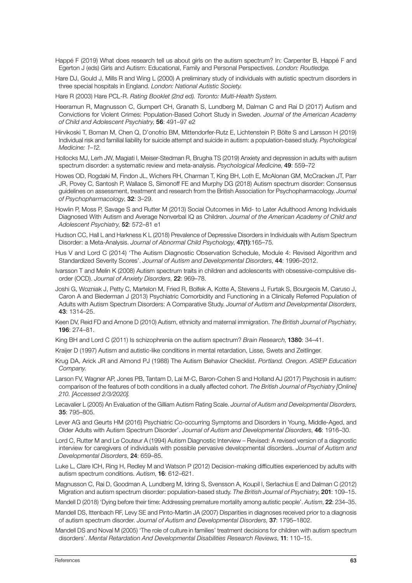- Happé F (2019) What does research tell us about girls on the autism spectrum? In: Carpenter B, Happé F and Egerton J (eds) Girls and Autism: Educational, Family and Personal Perspectives. *London: Routledge.*
- Hare DJ, Gould J, Mills R and Wing L (2000) A preliminary study of individuals with autistic spectrum disorders in three special hospitals in England. *London: National Autistic Society.*
- Hare R (2003) Hare PCL-R. *Rating Booklet (2nd ed). Toronto: Multi-Health System.*
- Heeramun R, Magnusson C, Gumpert CH, Granath S, Lundberg M, Dalman C and Rai D (2017) Autism and Convictions for Violent Crimes: Population-Based Cohort Study in Sweden. *Journal of the American Academy of Child and Adolescent Psychiatry*, 56: 491–97 e2
- Hirvikoski T, Boman M, Chen Q, D'onofrio BM, Mittendorfer-Rutz E, Lichtenstein P, Bölte S and Larsson H (2019) Individual risk and familial liability for suicide attempt and suicide in autism: a population-based study. *Psychological Medicine: 1–12.*
- Hollocks MJ, Lerh JW, Magiati I, Meiser-Stedman R, Brugha TS (2019) Anxiety and depression in adults with autism spectrum disorder: a systematic review and meta-analysis. *Psychological Medicine*, 49: 559–72
- Howes OD, Rogdaki M, Findon JL, Wichers RH, Charman T, King BH, Loth E, McAlonan GM, McCracken JT, Parr JR, Povey C, Santosh P, Wallace S, Simonoff FE and Murphy DG (2018) Autism spectrum disorder: Consensus guidelines on assessment, treatment and research from the British Association for Psychopharmacology. *Journal of Psychopharmacology*, 32: 3–29.
- Howlin P, Moss P, Savage S and Rutter M (2013) Social Outcomes in Mid- to Later Adulthood Among Individuals Diagnosed With Autism and Average Nonverbal IQ as Children. *Journal of the American Academy of Child and Adolescent Psychiatry*, 52: 572–81 e1
- Hudson CC, Hall L and Harkness K L (2018) Prevalence of Depressive Disorders in Individuals with Autism Spectrum Disorder: a Meta-Analysis. *Journal of Abnormal Child Psychology*, 47(1):165–75.
- Hus V and Lord C (2014) 'The Autism Diagnostic Observation Schedule, Module 4: Revised Algorithm and Standardized Severity Scores'. *Journal of Autism and Developmental Disorders*, 44: 1996–2012.
- Ivarsson T and Melin K (2008) Autism spectrum traits in children and adolescents with obsessive-compulsive disorder (OCD). *Journal of Anxiety Disorders*, 22: 969–78.
- Joshi G, Wozniak J, Petty C, Martelon M, Fried R, Bolfek A, Kotte A, Stevens J, Furtak S, Bourgeois M, Caruso J, Caron A and Biederman J (2013) Psychiatric Comorbidity and Functioning in a Clinically Referred Population of Adults with Autism Spectrum Disorders: A Comparative Study. *Journal of Autism and Developmental Disorders*, 43: 1314–25.
- Keen DV, Reid FD and Arnone D (2010) Autism, ethnicity and maternal immigration. *The British Journal of Psychiatry*, 196: 274–81.
- King BH and Lord C (2011) Is schizophrenia on the autism spectrum? *Brain Research*, 1380: 34–41.
- Kraijer D (1997) Autism and autistic-like conditions in mental retardation, Lisse, Swets and Zeitlinger.
- Krug DA, Arick JR and Almond PJ (1988) The Autism Behavior Checklist. *Portland. Oregon. ASIEP Education Company.*
- Larson FV, Wagner AP, Jones PB, Tantam D, Lai M-C, Baron-Cohen S and Holland AJ (2017) Psychosis in autism: comparison of the features of both conditions in a dually affected cohort. *The British Journal of Psychiatry [Online] 210. [Accessed 2/3/2020].*
- Lecavalier L (2005) An Evaluation of the Gilliam Autism Rating Scale. *Journal of Autism and Developmental Disorders*, 35: 795–805.
- Lever AG and Geurts HM (2016) Psychiatric Co-occurring Symptoms and Disorders in Young, Middle-Aged, and Older Adults with Autism Spectrum Disorder'. *Journal of Autism and Developmental Disorders*, 46: 1916–30.
- Lord C, Rutter M and Le Couteur A (1994) Autism Diagnostic Interview Revised: A revised version of a diagnostic interview for caregivers of individuals with possible pervasive developmental disorders. *Journal of Autism and Developmental Disorders*, 24: 659–85.
- Luke L, Clare ICH, Ring H, Redley M and Watson P (2012) Decision-making difficulties experienced by adults with autism spectrum conditions. *Autism*, 16: 612–621.
- Magnusson C, Rai D, Goodman A, Lundberg M, Idring S, Svensson A, Koupil I, Serlachius E and Dalman C (2012) Migration and autism spectrum disorder: population-based study. *The British Journal of Psychiatry*, 201: 109–15.
- Mandell D (2018) 'Dying before their time: Addressing premature mortality among autistic people'. *Autism*, 22: 234–35.
- Mandell DS, Ittenbach RF, Levy SE and Pinto-Martin JA (2007) Disparities in diagnoses received prior to a diagnosis of autism spectrum disorder. *Journal of Autism and Developmental Disorders*, 37: 1795–1802.
- Mandell DS and Noval M (2005) 'The role of culture in families' treatment decisions for children with autism spectrum disorders'. *Mental Retardation And Developmental Disabilities Research Reviews*, 11: 110–15.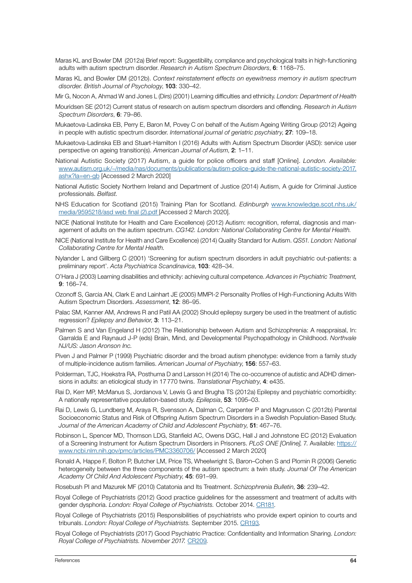- Maras KL and Bowler DM (2012a) Brief report: Suggestibility, compliance and psychological traits in high-functioning adults with autism spectrum disorder. *Research in Autism Spectrum Disorders*, 6: 1168–75.
- Maras KL and Bowler DM (2012b). *Context reinstatement effects on eyewitness memory in autism spectrum disorder. British Journal of Psychology*, 103: 330–42.
- Mir G, Nocon A, Ahmad W and Jones L (Dirs) (2001) Learning difficulties and ethnicity. *London: Department of Health*
- Mouridsen SE (2012) Current status of research on autism spectrum disorders and offending. *Research in Autism Spectrum Disorders*, 6: 79–86.
- Mukaetova-Ladinska EB, Perry E, Baron M, Povey C on behalf of the Autism Ageing Writing Group (2012) Ageing in people with autistic spectrum disorder. *International journal of geriatric psychiatry*, 27: 109–18.
- Mukaetova-Ladinska EB and Stuart-Hamilton I (2016) Adults with Autism Spectrum Disorder (ASD): service user perspective on ageing transition(s). *American Journal of Autism*, 2: 1–11.
- National Autistic Society (2017) Autism, a guide for police officers and staff [Online]. *London. Available:* [www.autism.org.uk/~/media/nas/documents/publications/autism-police-guide-the-national-autistic-society-2017.](https://www.autism.org.uk/~/media/nas/documents/publications/autism-police-guide-the-national-autistic-society-2017.ashx?la=en-gb) [ashx?la=en-gb](https://www.autism.org.uk/~/media/nas/documents/publications/autism-police-guide-the-national-autistic-society-2017.ashx?la=en-gb) [Accessed 2 March 2020]
- National Autistic Society Northern Ireland and Department of Justice (2014) Autism, A guide for Criminal Justice professionals. *Belfast.*
- NHS Education for Scotland (2015) Training Plan for Scotland. *Edinburgh* [www.knowledge.scot.nhs.uk/](www.knowledge.scot.nhs.uk/media/9595218/asd web final (2).pdf) [media/9595218/asd web final \(2\).pdf](www.knowledge.scot.nhs.uk/media/9595218/asd web final (2).pdf) [Accessed 2 March 2020].
- NICE (National Institute for Health and Care Excellence) (2012) Autism: recognition, referral, diagnosis and management of adults on the autism spectrum. *CG142. London: National Collaborating Centre for Mental Health.*
- NICE (National Institute for Health and Care Excellence) (2014) Quality Standard for Autism. *QS51. London: National Collaborating Centre for Mental Health.*
- Nylander L and Gillberg C (2001) 'Screening for autism spectrum disorders in adult psychiatric out-patients: a preliminary report'. *Acta Psychiatrica Scandinavica*, 103: 428–34.
- O'Hara J (2003) Learning disabilities and ethnicity: achieving cultural competence. *Advances in Psychiatric Treatment*, 9: 166–74.
- Ozonoff S, Garcia AN, Clark E and Lainhart JE (2005) MMPI-2 Personality Profiles of High-Functioning Adults With Autism Spectrum Disorders. *Assessment*, 12: 86–95.
- Palac SM, Kanner AM, Andrews R and Patil AA (2002) Should epilepsy surgery be used in the treatment of autistic regression? *Epilepsy and Behavior*, 3: 113–21.
- Palmen S and Van Engeland H (2012) The Relationship between Autism and Schizophrenia: A reappraisal, In: Garralda E and Raynaud J-P (eds) Brain, Mind, and Developmental Psychopathology in Childhood. *Northvale NJ/US: Jason Aronson Inc.*
- Piven J and Palmer P (1999) Psychiatric disorder and the broad autism phenotype: evidence from a family study of multiple-incidence autism families. *American Journal of Psychiatry*, 156: 557–63.
- Polderman, TJC, Hoekstra RA, Posthuma D and Larsson H (2014) The co-occurrence of autistic and ADHD dimensions in adults: an etiological study in 17770 twins. *Translational Psychiatry*, 4: e435.
- Rai D, Kerr MP, McManus S, Jordanova V, Lewis G and Brugha TS (2012a) Epilepsy and psychiatric comorbidity: A nationally representative population-based study. *Epilepsia*, 53: 1095–03.
- Rai D, Lewis G, Lundberg M, Araya R, Svensson A, Dalman C, Carpenter P and Magnusson C (2012b) Parental Socioeconomic Status and Risk of Offspring Autism Spectrum Disorders in a Swedish Population-Based Study. *Journal of the American Academy of Child and Adolescent Psychiatry*, 51: 467–76.
- Robinson L, Spencer MD, Thomson LDG, Stanfield AC, Owens DGC, Hall J and Johnstone EC (2012) Evaluation of a Screening Instrument for Autism Spectrum Disorders in Prisoners. *PLoS ONE [Online]*, 7. Available: [https://](https://www.ncbi.nlm.nih.gov/pmc/articles/PMC3360706/) [www.ncbi.nlm.nih.gov/pmc/articles/PMC3360706/](https://www.ncbi.nlm.nih.gov/pmc/articles/PMC3360706/) [Accessed 2 March 2020]
- Ronald A, Happe F, Bolton P, Butcher LM, Price TS, Wheelwright S, Baron–Cohen S and Plomin R (2006) Genetic heterogeneity between the three components of the autism spectrum: a twin study. *Journal Of The American Academy Of Child And Adolescent Psychiatry*, 45: 691–99.
- Rosebush PI and Mazurek MF (2010) Catatonia and Its Treatment. *Schizophrenia Bulletin*, 36: 239–42.
- Royal College of Psychiatrists (2012) Good practice guidelines for the assessment and treatment of adults with gender dysphoria. *London: Royal College of Psychiatrists.* October 2014. [CR181](https://www.rcpsych.ac.uk/docs/default-source/improving-care/better-mh-policy/college-reports/cr181-good-practice-guidelines-for-the-assessment-and-treatment-of-adults-with-gender-dysphoria.pdf?sfvrsn=84743f94_4)*.*
- Royal College of Psychiatrists (2015) Responsibilities of psychiatrists who provide expert opinion to courts and tribunals. *London: Royal College of Psychiatrists.* September 2015. [CR193](https://www.rcpsych.ac.uk/docs/default-source/improving-care/better-mh-policy/college-reports/college-report-cr193.pdf?sfvrsn=c0381b24_2)*.*
- Royal College of Psychiatrists (2017) Good Psychiatric Practice: Confidentiality and Information Sharing. *London: Royal College of Psychiatrists. November 2017.* [CR209](https://www.rcpsych.ac.uk/docs/default-source/improving-care/better-mh-policy/college-reports/college-report-cr209.pdf?sfvrsn=23858153_2)*.*